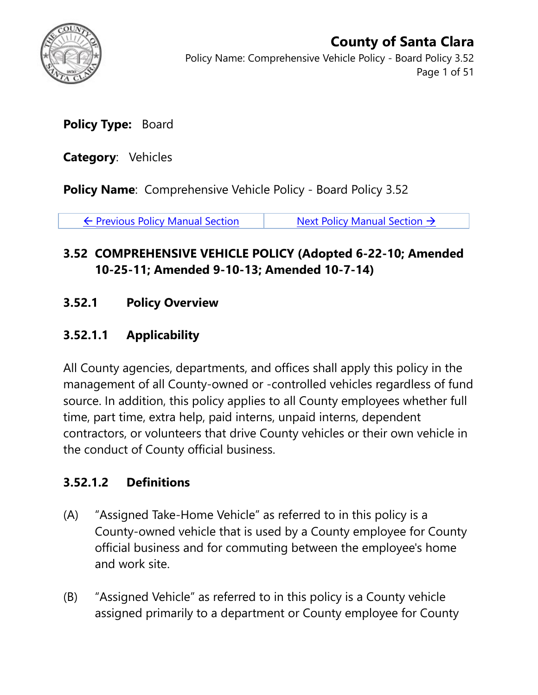

Policy Name: Comprehensive Vehicle Policy - Board Policy 3.52 Page 1 of 51

**Policy Type:** Board

**Category**: Vehicles

**Policy Name:** Comprehensive Vehicle Policy - Board Policy 3.52

 $\leftarrow$  [Previous Policy Manual Section](https://connect.sccgov.org/sites/policies/policypages/Pages/Board-Policy-3.51-Policy-to-Protect-Youth.aspx)  $\leftarrow$  [Next Policy Manual Section](https://connect.sccgov.org/sites/policies/policypages/Pages/Board-Policy-3.53-Desired-Characterstics-of-Candidates-for-Appointment.aspx)  $\rightarrow$ 

### **3.52 COMPREHENSIVE VEHICLE POLICY (Adopted 6-22-10; Amended 10-25-11; Amended 9-10-13; Amended 10-7-14)**

### **3.52.1 Policy Overview**

### **3.52.1.1 Applicability**

All County agencies, departments, and offices shall apply this policy in the management of all County-owned or -controlled vehicles regardless of fund source. In addition, this policy applies to all County employees whether full time, part time, extra help, paid interns, unpaid interns, dependent contractors, or volunteers that drive County vehicles or their own vehicle in the conduct of County official business.

### **3.52.1.2 Definitions**

- (A) "Assigned Take-Home Vehicle" as referred to in this policy is a County-owned vehicle that is used by a County employee for County official business and for commuting between the employee's home and work site.
- (B) "Assigned Vehicle" as referred to in this policy is a County vehicle assigned primarily to a department or County employee for County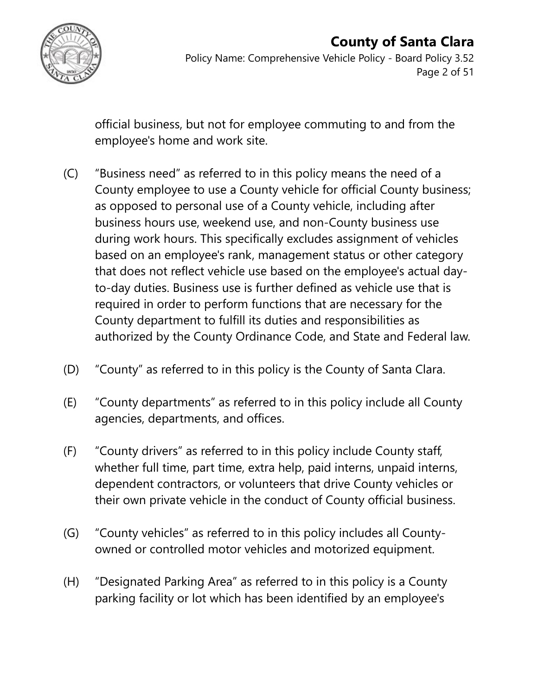

Policy Name: Comprehensive Vehicle Policy - Board Policy 3.52 Page 2 of 51

official business, but not for employee commuting to and from the employee's home and work site.

- (C) "Business need" as referred to in this policy means the need of a County employee to use a County vehicle for official County business; as opposed to personal use of a County vehicle, including after business hours use, weekend use, and non-County business use during work hours. This specifically excludes assignment of vehicles based on an employee's rank, management status or other category that does not reflect vehicle use based on the employee's actual dayto-day duties. Business use is further defined as vehicle use that is required in order to perform functions that are necessary for the County department to fulfill its duties and responsibilities as authorized by the County Ordinance Code, and State and Federal law.
- (D) "County" as referred to in this policy is the County of Santa Clara.
- (E) "County departments" as referred to in this policy include all County agencies, departments, and offices.
- (F) "County drivers" as referred to in this policy include County staff, whether full time, part time, extra help, paid interns, unpaid interns, dependent contractors, or volunteers that drive County vehicles or their own private vehicle in the conduct of County official business.
- (G) "County vehicles" as referred to in this policy includes all Countyowned or controlled motor vehicles and motorized equipment.
- (H) "Designated Parking Area" as referred to in this policy is a County parking facility or lot which has been identified by an employee's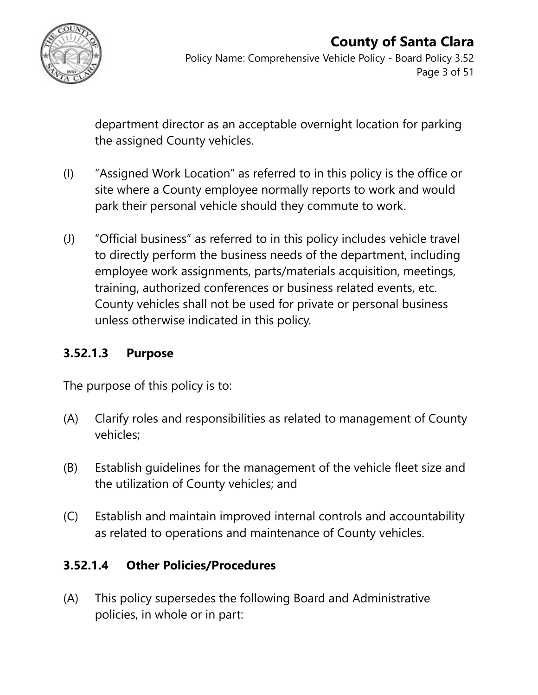

Policy Name: Comprehensive Vehicle Policy - Board Policy 3.52 Page 3 of 51

department director as an acceptable overnight location for parking the assigned County vehicles.

- (I) "Assigned Work Location" as referred to in this policy is the office or site where a County employee normally reports to work and would park their personal vehicle should they commute to work.
- (J) "Official business" as referred to in this policy includes vehicle travel to directly perform the business needs of the department, including employee work assignments, parts/materials acquisition, meetings, training, authorized conferences or business related events, etc. County vehicles shall not be used for private or personal business unless otherwise indicated in this policy.

### **3.52.1.3 Purpose**

The purpose of this policy is to:

- (A) Clarify roles and responsibilities as related to management of County vehicles;
- (B) Establish guidelines for the management of the vehicle fleet size and the utilization of County vehicles; and
- (C) Establish and maintain improved internal controls and accountability as related to operations and maintenance of County vehicles.

### **3.52.1.4 Other Policies/Procedures**

(A) This policy supersedes the following Board and Administrative policies, in whole or in part: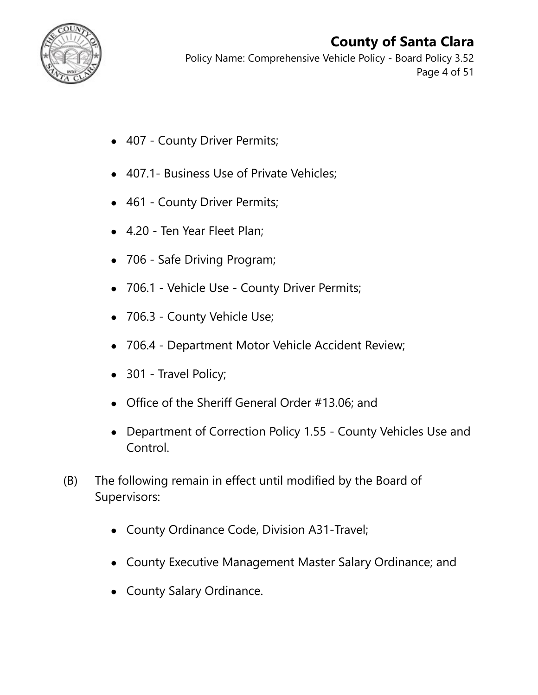

Policy Name: Comprehensive Vehicle Policy - Board Policy 3.52 Page 4 of 51

- 407 County Driver Permits;
- 407.1 Business Use of Private Vehicles;
- 461 County Driver Permits;
- 4.20 Ten Year Fleet Plan;
- 706 Safe Driving Program;
- 706.1 Vehicle Use County Driver Permits;
- 706.3 County Vehicle Use;
- 706.4 Department Motor Vehicle Accident Review;
- 301 Travel Policy;
- Office of the Sheriff General Order #13.06; and
- Department of Correction Policy 1.55 County Vehicles Use and Control.
- (B) The following remain in effect until modified by the Board of Supervisors:
	- County Ordinance Code, Division A31-Travel;
	- County Executive Management Master Salary Ordinance; and
	- County Salary Ordinance.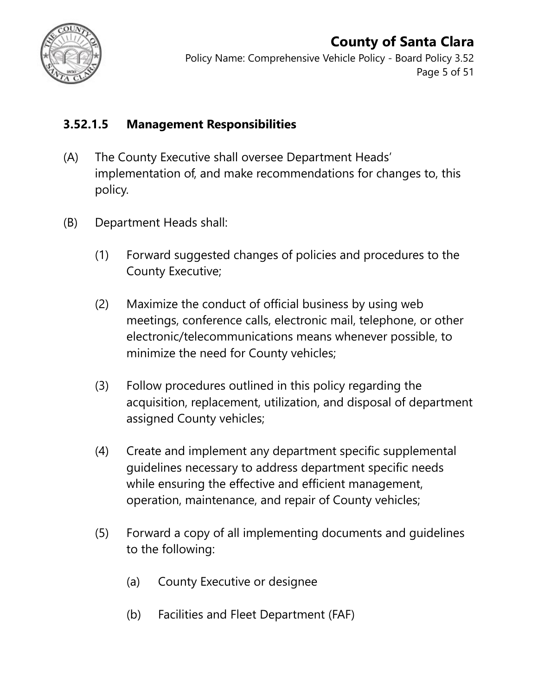

Policy Name: Comprehensive Vehicle Policy - Board Policy 3.52 Page 5 of 51

### **3.52.1.5 Management Responsibilities**

- (A) The County Executive shall oversee Department Heads' implementation of, and make recommendations for changes to, this policy.
- (B) Department Heads shall:
	- (1) Forward suggested changes of policies and procedures to the County Executive;
	- (2) Maximize the conduct of official business by using web meetings, conference calls, electronic mail, telephone, or other electronic/telecommunications means whenever possible, to minimize the need for County vehicles;
	- (3) Follow procedures outlined in this policy regarding the acquisition, replacement, utilization, and disposal of department assigned County vehicles;
	- (4) Create and implement any department specific supplemental guidelines necessary to address department specific needs while ensuring the effective and efficient management, operation, maintenance, and repair of County vehicles;
	- (5) Forward a copy of all implementing documents and guidelines to the following:
		- (a) County Executive or designee
		- (b) Facilities and Fleet Department (FAF)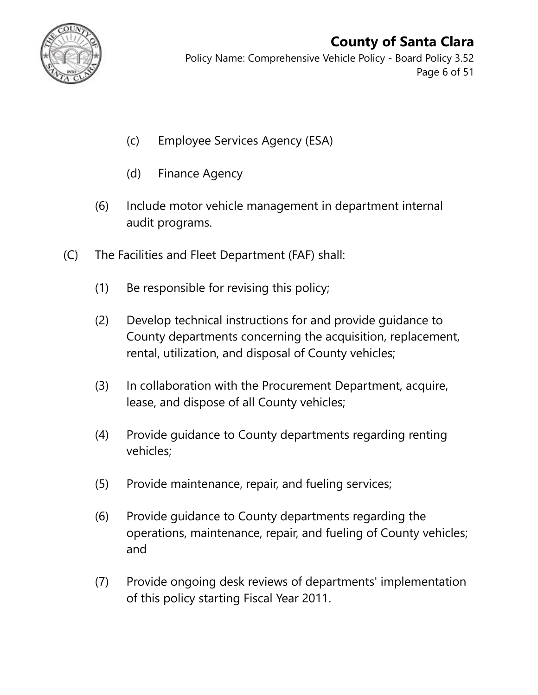

Policy Name: Comprehensive Vehicle Policy - Board Policy 3.52 Page 6 of 51

- (c) Employee Services Agency (ESA)
- (d) Finance Agency
- (6) Include motor vehicle management in department internal audit programs.
- (C) The Facilities and Fleet Department (FAF) shall:
	- (1) Be responsible for revising this policy;
	- (2) Develop technical instructions for and provide guidance to County departments concerning the acquisition, replacement, rental, utilization, and disposal of County vehicles;
	- (3) In collaboration with the Procurement Department, acquire, lease, and dispose of all County vehicles;
	- (4) Provide guidance to County departments regarding renting vehicles;
	- (5) Provide maintenance, repair, and fueling services;
	- (6) Provide guidance to County departments regarding the operations, maintenance, repair, and fueling of County vehicles; and
	- (7) Provide ongoing desk reviews of departments' implementation of this policy starting Fiscal Year 2011.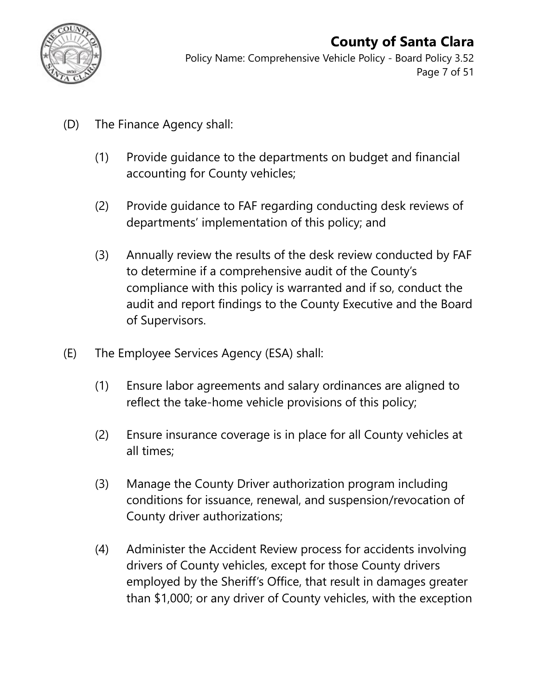

Policy Name: Comprehensive Vehicle Policy - Board Policy 3.52 Page 7 of 51

- (D) The Finance Agency shall:
	- (1) Provide guidance to the departments on budget and financial accounting for County vehicles;
	- (2) Provide guidance to FAF regarding conducting desk reviews of departments' implementation of this policy; and
	- (3) Annually review the results of the desk review conducted by FAF to determine if a comprehensive audit of the County's compliance with this policy is warranted and if so, conduct the audit and report findings to the County Executive and the Board of Supervisors.
- (E) The Employee Services Agency (ESA) shall:
	- (1) Ensure labor agreements and salary ordinances are aligned to reflect the take-home vehicle provisions of this policy;
	- (2) Ensure insurance coverage is in place for all County vehicles at all times;
	- (3) Manage the County Driver authorization program including conditions for issuance, renewal, and suspension/revocation of County driver authorizations;
	- (4) Administer the Accident Review process for accidents involving drivers of County vehicles, except for those County drivers employed by the Sheriff's Office, that result in damages greater than \$1,000; or any driver of County vehicles, with the exception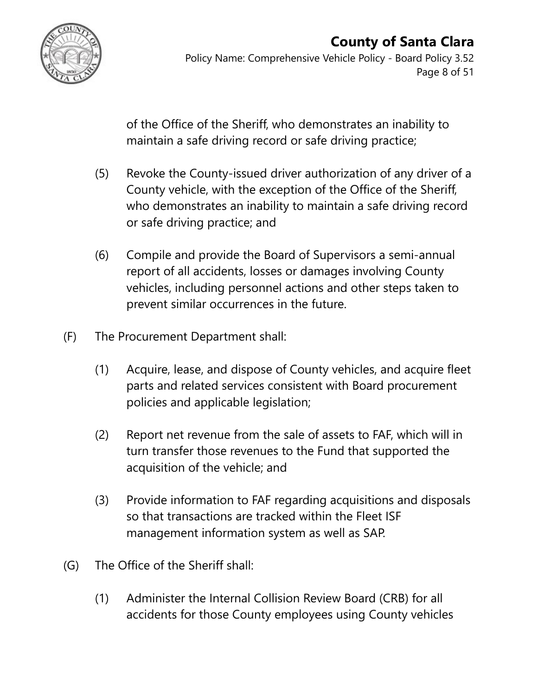

Policy Name: Comprehensive Vehicle Policy - Board Policy 3.52 Page 8 of 51

of the Office of the Sheriff, who demonstrates an inability to maintain a safe driving record or safe driving practice;

- (5) Revoke the County-issued driver authorization of any driver of a County vehicle, with the exception of the Office of the Sheriff, who demonstrates an inability to maintain a safe driving record or safe driving practice; and
- (6) Compile and provide the Board of Supervisors a semi-annual report of all accidents, losses or damages involving County vehicles, including personnel actions and other steps taken to prevent similar occurrences in the future.
- (F) The Procurement Department shall:
	- (1) Acquire, lease, and dispose of County vehicles, and acquire fleet parts and related services consistent with Board procurement policies and applicable legislation;
	- (2) Report net revenue from the sale of assets to FAF, which will in turn transfer those revenues to the Fund that supported the acquisition of the vehicle; and
	- (3) Provide information to FAF regarding acquisitions and disposals so that transactions are tracked within the Fleet ISF management information system as well as SAP.
- (G) The Office of the Sheriff shall:
	- (1) Administer the Internal Collision Review Board (CRB) for all accidents for those County employees using County vehicles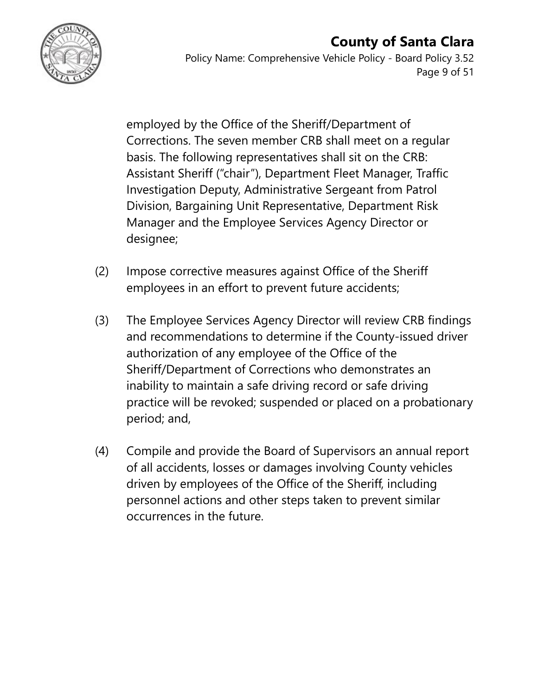#### **County of Santa Clara** Policy Name: Comprehensive Vehicle Policy - Board Policy 3.52 Page 9 of 51

employed by the Office of the Sheriff/Department of Corrections. The seven member CRB shall meet on a regular basis. The following representatives shall sit on the CRB: Assistant Sheriff ("chair"), Department Fleet Manager, Traffic Investigation Deputy, Administrative Sergeant from Patrol Division, Bargaining Unit Representative, Department Risk Manager and the Employee Services Agency Director or designee;

- (2) Impose corrective measures against Office of the Sheriff employees in an effort to prevent future accidents;
- (3) The Employee Services Agency Director will review CRB findings and recommendations to determine if the County-issued driver authorization of any employee of the Office of the Sheriff/Department of Corrections who demonstrates an inability to maintain a safe driving record or safe driving practice will be revoked; suspended or placed on a probationary period; and,
- (4) Compile and provide the Board of Supervisors an annual report of all accidents, losses or damages involving County vehicles driven by employees of the Office of the Sheriff, including personnel actions and other steps taken to prevent similar occurrences in the future.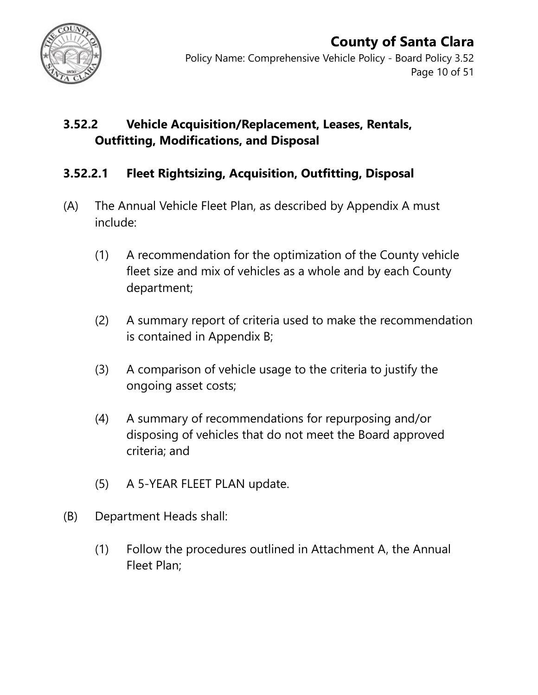

Policy Name: Comprehensive Vehicle Policy - Board Policy 3.52 Page 10 of 51

### **3.52.2 Vehicle Acquisition/Replacement, Leases, Rentals, Outfitting, Modifications, and Disposal**

#### **3.52.2.1 Fleet Rightsizing, Acquisition, Outfitting, Disposal**

- (A) The Annual Vehicle Fleet Plan, as described by Appendix A must include:
	- (1) A recommendation for the optimization of the County vehicle fleet size and mix of vehicles as a whole and by each County department;
	- (2) A summary report of criteria used to make the recommendation is contained in Appendix B;
	- (3) A comparison of vehicle usage to the criteria to justify the ongoing asset costs;
	- (4) A summary of recommendations for repurposing and/or disposing of vehicles that do not meet the Board approved criteria; and
	- (5) A 5-YEAR FLEET PLAN update.
- (B) Department Heads shall:
	- (1) Follow the procedures outlined in Attachment A, the Annual Fleet Plan;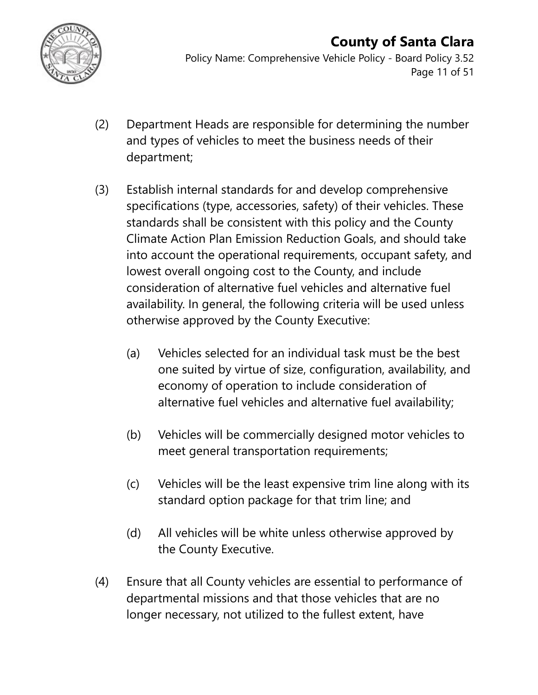

Policy Name: Comprehensive Vehicle Policy - Board Policy 3.52 Page 11 of 51

- (2) Department Heads are responsible for determining the number and types of vehicles to meet the business needs of their department;
- (3) Establish internal standards for and develop comprehensive specifications (type, accessories, safety) of their vehicles. These standards shall be consistent with this policy and the County Climate Action Plan Emission Reduction Goals, and should take into account the operational requirements, occupant safety, and lowest overall ongoing cost to the County, and include consideration of alternative fuel vehicles and alternative fuel availability. In general, the following criteria will be used unless otherwise approved by the County Executive:
	- (a) Vehicles selected for an individual task must be the best one suited by virtue of size, configuration, availability, and economy of operation to include consideration of alternative fuel vehicles and alternative fuel availability;
	- (b) Vehicles will be commercially designed motor vehicles to meet general transportation requirements;
	- (c) Vehicles will be the least expensive trim line along with its standard option package for that trim line; and
	- (d) All vehicles will be white unless otherwise approved by the County Executive.
- (4) Ensure that all County vehicles are essential to performance of departmental missions and that those vehicles that are no longer necessary, not utilized to the fullest extent, have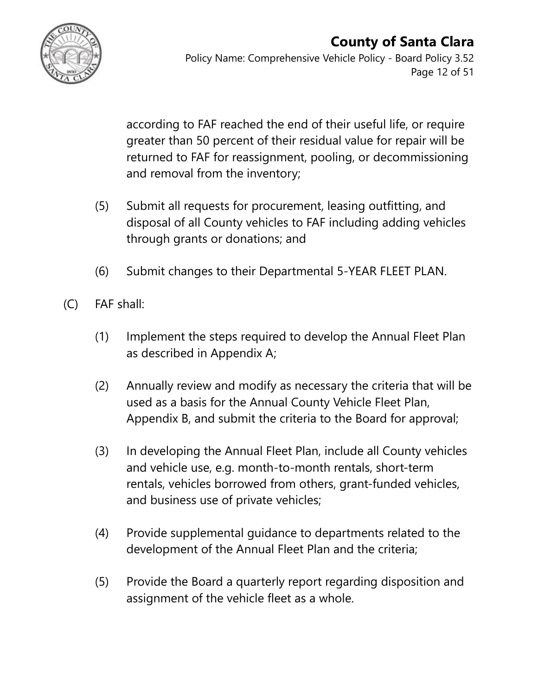

according to FAF reached the end of their useful life, or require greater than 50 percent of their residual value for repair will be returned to FAF for reassignment, pooling, or decommissioning and removal from the inventory;

- (5) Submit all requests for procurement, leasing outfitting, and disposal of all County vehicles to FAF including adding vehicles through grants or donations; and
- (6) Submit changes to their Departmental 5-YEAR FLEET PLAN.
- (C) FAF shall:
	- (1) Implement the steps required to develop the Annual Fleet Plan as described in Appendix A;
	- (2) Annually review and modify as necessary the criteria that will be used as a basis for the Annual County Vehicle Fleet Plan, Appendix B, and submit the criteria to the Board for approval;
	- (3) In developing the Annual Fleet Plan, include all County vehicles and vehicle use, e.g. month-to-month rentals, short-term rentals, vehicles borrowed from others, grant-funded vehicles, and business use of private vehicles;
	- (4) Provide supplemental guidance to departments related to the development of the Annual Fleet Plan and the criteria;
	- (5) Provide the Board a quarterly report regarding disposition and assignment of the vehicle fleet as a whole.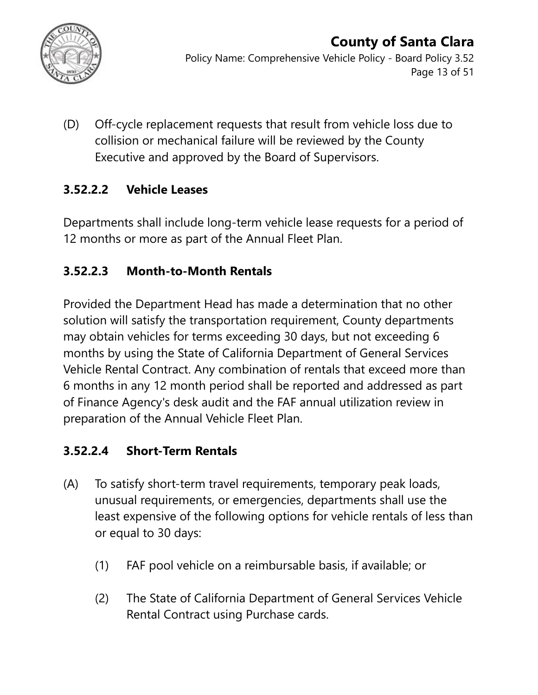

Policy Name: Comprehensive Vehicle Policy - Board Policy 3.52 Page 13 of 51

(D) Off-cycle replacement requests that result from vehicle loss due to collision or mechanical failure will be reviewed by the County Executive and approved by the Board of Supervisors.

### **3.52.2.2 Vehicle Leases**

Departments shall include long-term vehicle lease requests for a period of 12 months or more as part of the Annual Fleet Plan.

### **3.52.2.3 Month-to-Month Rentals**

Provided the Department Head has made a determination that no other solution will satisfy the transportation requirement, County departments may obtain vehicles for terms exceeding 30 days, but not exceeding 6 months by using the State of California Department of General Services Vehicle Rental Contract. Any combination of rentals that exceed more than 6 months in any 12 month period shall be reported and addressed as part of Finance Agency's desk audit and the FAF annual utilization review in preparation of the Annual Vehicle Fleet Plan.

### **3.52.2.4 Short-Term Rentals**

- (A) To satisfy short-term travel requirements, temporary peak loads, unusual requirements, or emergencies, departments shall use the least expensive of the following options for vehicle rentals of less than or equal to 30 days:
	- (1) FAF pool vehicle on a reimbursable basis, if available; or
	- (2) The State of California Department of General Services Vehicle Rental Contract using Purchase cards.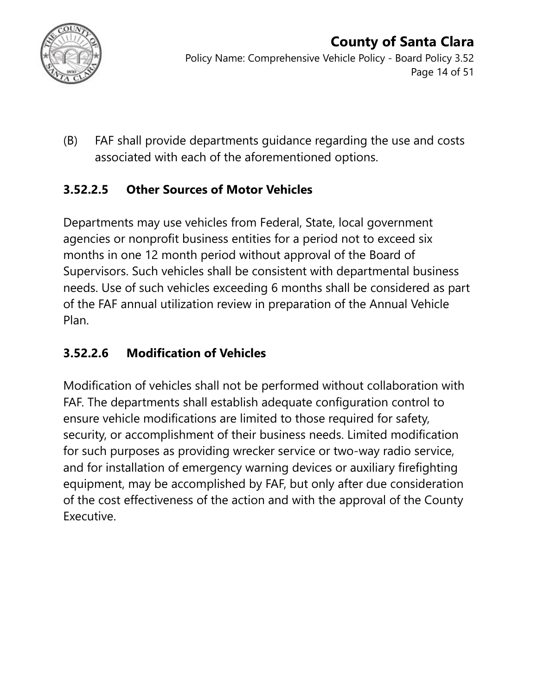

(B) FAF shall provide departments guidance regarding the use and costs associated with each of the aforementioned options.

### **3.52.2.5 Other Sources of Motor Vehicles**

Departments may use vehicles from Federal, State, local government agencies or nonprofit business entities for a period not to exceed six months in one 12 month period without approval of the Board of Supervisors. Such vehicles shall be consistent with departmental business needs. Use of such vehicles exceeding 6 months shall be considered as part of the FAF annual utilization review in preparation of the Annual Vehicle Plan.

### **3.52.2.6 Modification of Vehicles**

Modification of vehicles shall not be performed without collaboration with FAF. The departments shall establish adequate configuration control to ensure vehicle modifications are limited to those required for safety, security, or accomplishment of their business needs. Limited modification for such purposes as providing wrecker service or two-way radio service, and for installation of emergency warning devices or auxiliary firefighting equipment, may be accomplished by FAF, but only after due consideration of the cost effectiveness of the action and with the approval of the County Executive.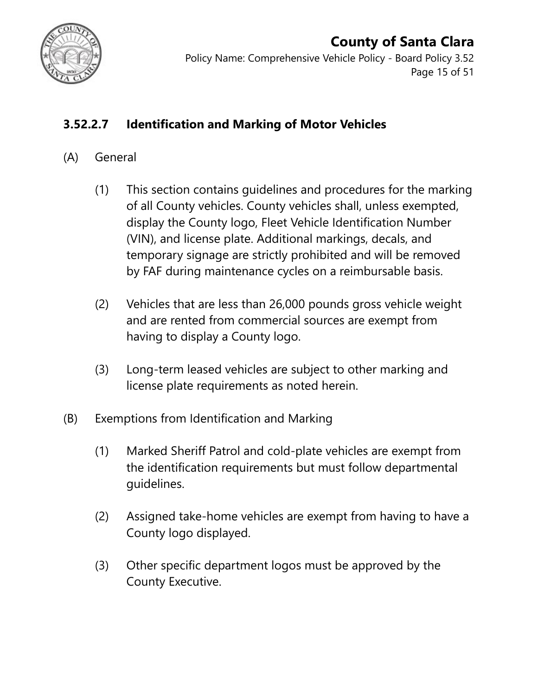

Policy Name: Comprehensive Vehicle Policy - Board Policy 3.52 Page 15 of 51

### **3.52.2.7 Identification and Marking of Motor Vehicles**

#### (A) General

- (1) This section contains guidelines and procedures for the marking of all County vehicles. County vehicles shall, unless exempted, display the County logo, Fleet Vehicle Identification Number (VIN), and license plate. Additional markings, decals, and temporary signage are strictly prohibited and will be removed by FAF during maintenance cycles on a reimbursable basis.
- (2) Vehicles that are less than 26,000 pounds gross vehicle weight and are rented from commercial sources are exempt from having to display a County logo.
- (3) Long-term leased vehicles are subject to other marking and license plate requirements as noted herein.
- (B) Exemptions from Identification and Marking
	- (1) Marked Sheriff Patrol and cold-plate vehicles are exempt from the identification requirements but must follow departmental guidelines.
	- (2) Assigned take-home vehicles are exempt from having to have a County logo displayed.
	- (3) Other specific department logos must be approved by the County Executive.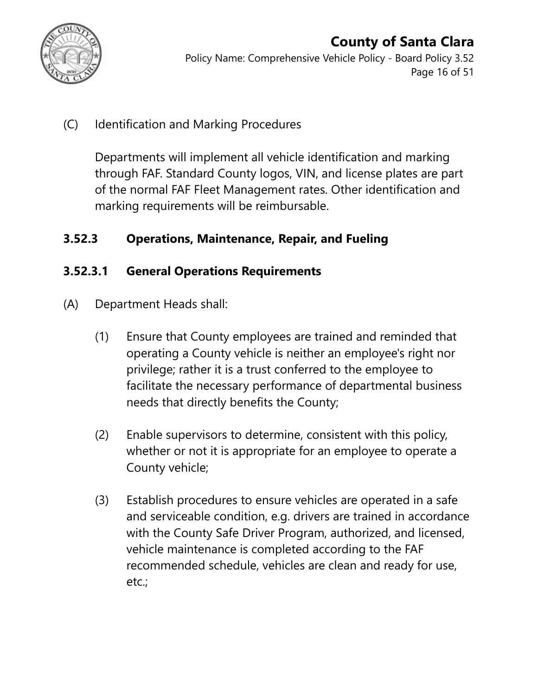

#### **County of Santa Clara** Policy Name: Comprehensive Vehicle Policy - Board Policy 3.52 Page 16 of 51

### (C) Identification and Marking Procedures

Departments will implement all vehicle identification and marking through FAF. Standard County logos, VIN, and license plates are part of the normal FAF Fleet Management rates. Other identification and marking requirements will be reimbursable.

#### **3.52.3 Operations, Maintenance, Repair, and Fueling**

#### **3.52.3.1 General Operations Requirements**

- (A) Department Heads shall:
	- (1) Ensure that County employees are trained and reminded that operating a County vehicle is neither an employee's right nor privilege; rather it is a trust conferred to the employee to facilitate the necessary performance of departmental business needs that directly benefits the County;
	- (2) Enable supervisors to determine, consistent with this policy, whether or not it is appropriate for an employee to operate a County vehicle;
	- (3) Establish procedures to ensure vehicles are operated in a safe and serviceable condition, e.g. drivers are trained in accordance with the County Safe Driver Program, authorized, and licensed, vehicle maintenance is completed according to the FAF recommended schedule, vehicles are clean and ready for use, etc.;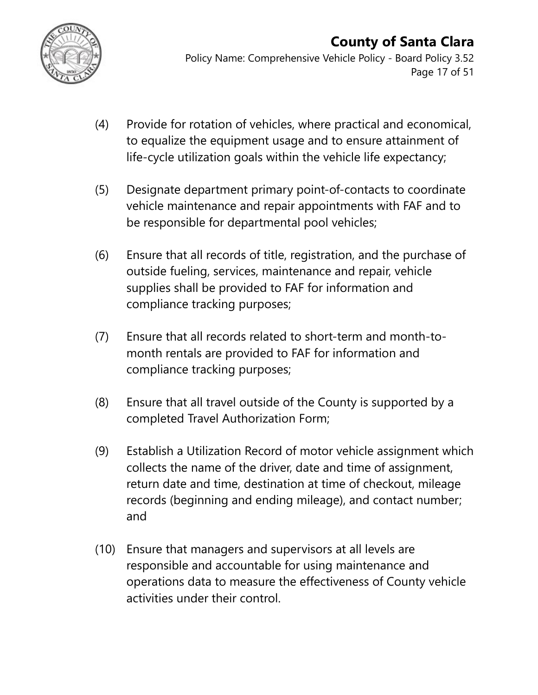

Policy Name: Comprehensive Vehicle Policy - Board Policy 3.52 Page 17 of 51

- (4) Provide for rotation of vehicles, where practical and economical, to equalize the equipment usage and to ensure attainment of life-cycle utilization goals within the vehicle life expectancy;
- (5) Designate department primary point-of-contacts to coordinate vehicle maintenance and repair appointments with FAF and to be responsible for departmental pool vehicles;
- (6) Ensure that all records of title, registration, and the purchase of outside fueling, services, maintenance and repair, vehicle supplies shall be provided to FAF for information and compliance tracking purposes;
- (7) Ensure that all records related to short-term and month-tomonth rentals are provided to FAF for information and compliance tracking purposes;
- (8) Ensure that all travel outside of the County is supported by a completed Travel Authorization Form;
- (9) Establish a Utilization Record of motor vehicle assignment which collects the name of the driver, date and time of assignment, return date and time, destination at time of checkout, mileage records (beginning and ending mileage), and contact number; and
- (10) Ensure that managers and supervisors at all levels are responsible and accountable for using maintenance and operations data to measure the effectiveness of County vehicle activities under their control.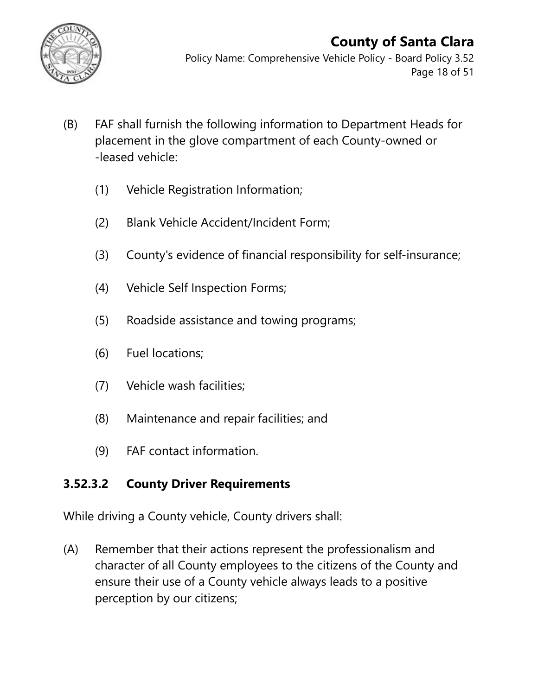

Policy Name: Comprehensive Vehicle Policy - Board Policy 3.52 Page 18 of 51

- (B) FAF shall furnish the following information to Department Heads for placement in the glove compartment of each County-owned or -leased vehicle:
	- (1) Vehicle Registration Information;
	- (2) Blank Vehicle Accident/Incident Form;
	- (3) County's evidence of financial responsibility for self-insurance;
	- (4) Vehicle Self Inspection Forms;
	- (5) Roadside assistance and towing programs;
	- (6) Fuel locations;
	- (7) Vehicle wash facilities;
	- (8) Maintenance and repair facilities; and
	- (9) FAF contact information.

### **3.52.3.2 County Driver Requirements**

While driving a County vehicle, County drivers shall:

(A) Remember that their actions represent the professionalism and character of all County employees to the citizens of the County and ensure their use of a County vehicle always leads to a positive perception by our citizens;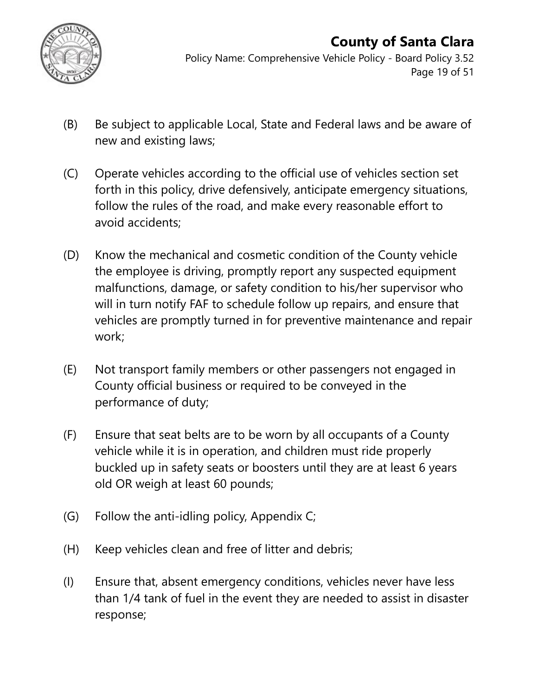

Policy Name: Comprehensive Vehicle Policy - Board Policy 3.52 Page 19 of 51

- (B) Be subject to applicable Local, State and Federal laws and be aware of new and existing laws;
- (C) Operate vehicles according to the official use of vehicles section set forth in this policy, drive defensively, anticipate emergency situations, follow the rules of the road, and make every reasonable effort to avoid accidents;
- (D) Know the mechanical and cosmetic condition of the County vehicle the employee is driving, promptly report any suspected equipment malfunctions, damage, or safety condition to his/her supervisor who will in turn notify FAF to schedule follow up repairs, and ensure that vehicles are promptly turned in for preventive maintenance and repair work;
- (E) Not transport family members or other passengers not engaged in County official business or required to be conveyed in the performance of duty;
- (F) Ensure that seat belts are to be worn by all occupants of a County vehicle while it is in operation, and children must ride properly buckled up in safety seats or boosters until they are at least 6 years old OR weigh at least 60 pounds;
- (G) Follow the anti-idling policy, Appendix C;
- (H) Keep vehicles clean and free of litter and debris;
- (I) Ensure that, absent emergency conditions, vehicles never have less than 1/4 tank of fuel in the event they are needed to assist in disaster response;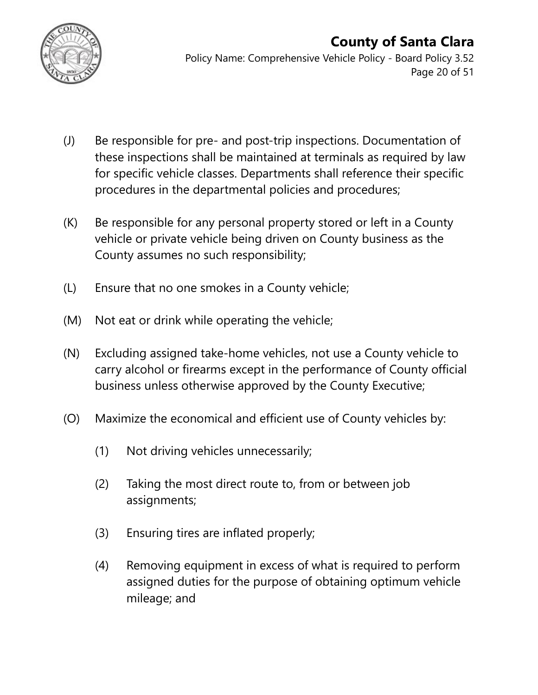

#### **County of Santa Clara** Policy Name: Comprehensive Vehicle Policy - Board Policy 3.52 Page 20 of 51

- (J) Be responsible for pre- and post-trip inspections. Documentation of these inspections shall be maintained at terminals as required by law for specific vehicle classes. Departments shall reference their specific procedures in the departmental policies and procedures;
- (K) Be responsible for any personal property stored or left in a County vehicle or private vehicle being driven on County business as the County assumes no such responsibility;
- (L) Ensure that no one smokes in a County vehicle;
- (M) Not eat or drink while operating the vehicle;
- (N) Excluding assigned take-home vehicles, not use a County vehicle to carry alcohol or firearms except in the performance of County official business unless otherwise approved by the County Executive;
- (O) Maximize the economical and efficient use of County vehicles by:
	- (1) Not driving vehicles unnecessarily;
	- (2) Taking the most direct route to, from or between job assignments;
	- (3) Ensuring tires are inflated properly;
	- (4) Removing equipment in excess of what is required to perform assigned duties for the purpose of obtaining optimum vehicle mileage; and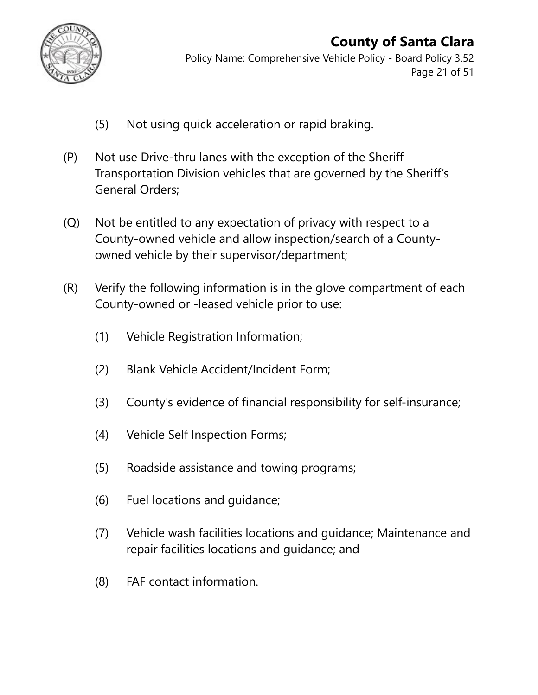

Policy Name: Comprehensive Vehicle Policy - Board Policy 3.52 Page 21 of 51

- (5) Not using quick acceleration or rapid braking.
- (P) Not use Drive-thru lanes with the exception of the Sheriff Transportation Division vehicles that are governed by the Sheriff's General Orders;
- (Q) Not be entitled to any expectation of privacy with respect to a County-owned vehicle and allow inspection/search of a Countyowned vehicle by their supervisor/department;
- (R) Verify the following information is in the glove compartment of each County-owned or -leased vehicle prior to use:
	- (1) Vehicle Registration Information;
	- (2) Blank Vehicle Accident/Incident Form;
	- (3) County's evidence of financial responsibility for self-insurance;
	- (4) Vehicle Self Inspection Forms;
	- (5) Roadside assistance and towing programs;
	- (6) Fuel locations and guidance;
	- (7) Vehicle wash facilities locations and guidance; Maintenance and repair facilities locations and guidance; and
	- (8) FAF contact information.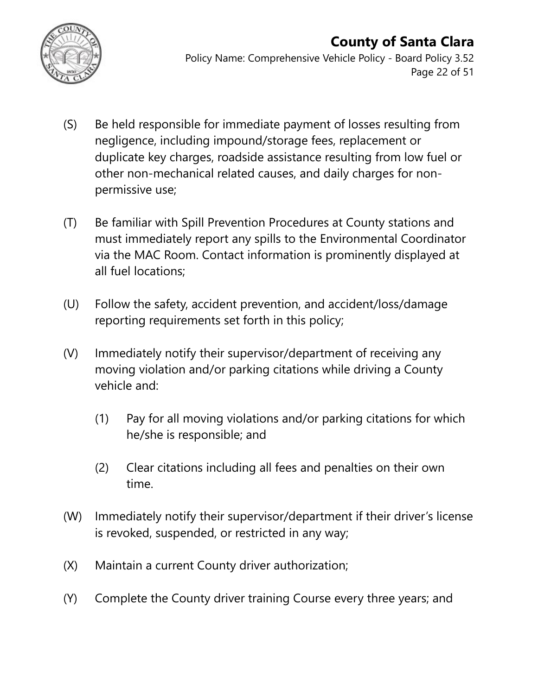

Policy Name: Comprehensive Vehicle Policy - Board Policy 3.52 Page 22 of 51

- (S) Be held responsible for immediate payment of losses resulting from negligence, including impound/storage fees, replacement or duplicate key charges, roadside assistance resulting from low fuel or other non-mechanical related causes, and daily charges for nonpermissive use;
- (T) Be familiar with Spill Prevention Procedures at County stations and must immediately report any spills to the Environmental Coordinator via the MAC Room. Contact information is prominently displayed at all fuel locations;
- (U) Follow the safety, accident prevention, and accident/loss/damage reporting requirements set forth in this policy;
- (V) Immediately notify their supervisor/department of receiving any moving violation and/or parking citations while driving a County vehicle and:
	- (1) Pay for all moving violations and/or parking citations for which he/she is responsible; and
	- (2) Clear citations including all fees and penalties on their own time.
- (W) Immediately notify their supervisor/department if their driver's license is revoked, suspended, or restricted in any way;
- (X) Maintain a current County driver authorization;
- (Y) Complete the County driver training Course every three years; and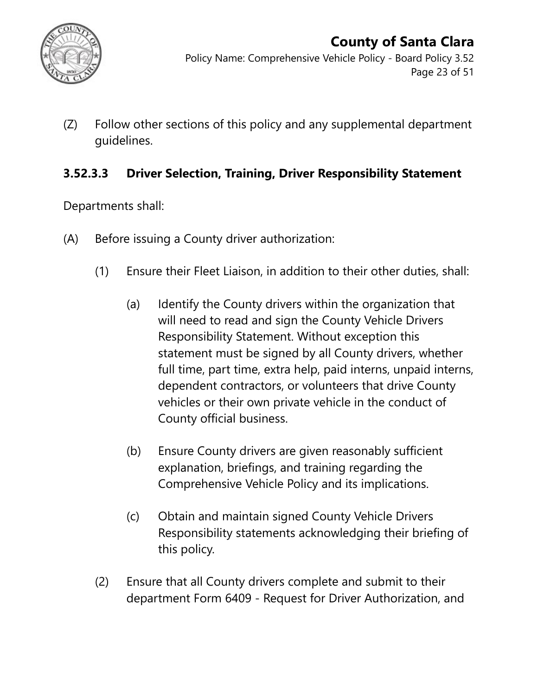

(Z) Follow other sections of this policy and any supplemental department guidelines.

#### **3.52.3.3 Driver Selection, Training, Driver Responsibility Statement**

Departments shall:

- (A) Before issuing a County driver authorization:
	- (1) Ensure their Fleet Liaison, in addition to their other duties, shall:
		- (a) Identify the County drivers within the organization that will need to read and sign the County Vehicle Drivers Responsibility Statement. Without exception this statement must be signed by all County drivers, whether full time, part time, extra help, paid interns, unpaid interns, dependent contractors, or volunteers that drive County vehicles or their own private vehicle in the conduct of County official business.
		- (b) Ensure County drivers are given reasonably sufficient explanation, briefings, and training regarding the Comprehensive Vehicle Policy and its implications.
		- (c) Obtain and maintain signed County Vehicle Drivers Responsibility statements acknowledging their briefing of this policy.
	- (2) Ensure that all County drivers complete and submit to their department Form 6409 - Request for Driver Authorization, and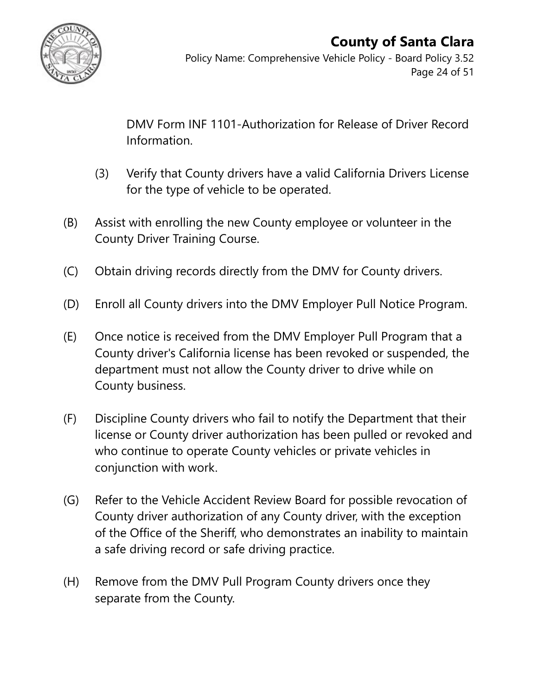

Policy Name: Comprehensive Vehicle Policy - Board Policy 3.52 Page 24 of 51

DMV Form INF 1101-Authorization for Release of Driver Record Information.

- (3) Verify that County drivers have a valid California Drivers License for the type of vehicle to be operated.
- (B) Assist with enrolling the new County employee or volunteer in the County Driver Training Course.
- (C) Obtain driving records directly from the DMV for County drivers.
- (D) Enroll all County drivers into the DMV Employer Pull Notice Program.
- (E) Once notice is received from the DMV Employer Pull Program that a County driver's California license has been revoked or suspended, the department must not allow the County driver to drive while on County business.
- (F) Discipline County drivers who fail to notify the Department that their license or County driver authorization has been pulled or revoked and who continue to operate County vehicles or private vehicles in conjunction with work.
- (G) Refer to the Vehicle Accident Review Board for possible revocation of County driver authorization of any County driver, with the exception of the Office of the Sheriff, who demonstrates an inability to maintain a safe driving record or safe driving practice.
- (H) Remove from the DMV Pull Program County drivers once they separate from the County.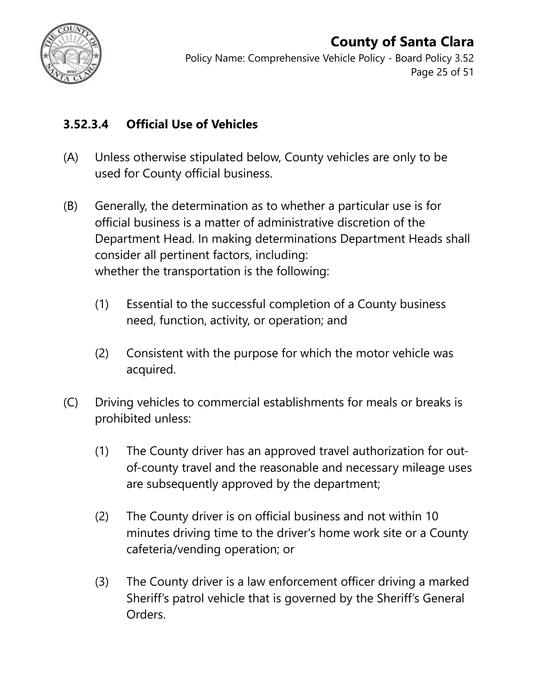

Policy Name: Comprehensive Vehicle Policy - Board Policy 3.52 Page 25 of 51

### **3.52.3.4 Official Use of Vehicles**

- (A) Unless otherwise stipulated below, County vehicles are only to be used for County official business.
- (B) Generally, the determination as to whether a particular use is for official business is a matter of administrative discretion of the Department Head. In making determinations Department Heads shall consider all pertinent factors, including: whether the transportation is the following:
	- (1) Essential to the successful completion of a County business need, function, activity, or operation; and
	- (2) Consistent with the purpose for which the motor vehicle was acquired.
- (C) Driving vehicles to commercial establishments for meals or breaks is prohibited unless:
	- (1) The County driver has an approved travel authorization for outof-county travel and the reasonable and necessary mileage uses are subsequently approved by the department;
	- (2) The County driver is on official business and not within 10 minutes driving time to the driver's home work site or a County cafeteria/vending operation; or
	- (3) The County driver is a law enforcement officer driving a marked Sheriff's patrol vehicle that is governed by the Sheriff's General Orders.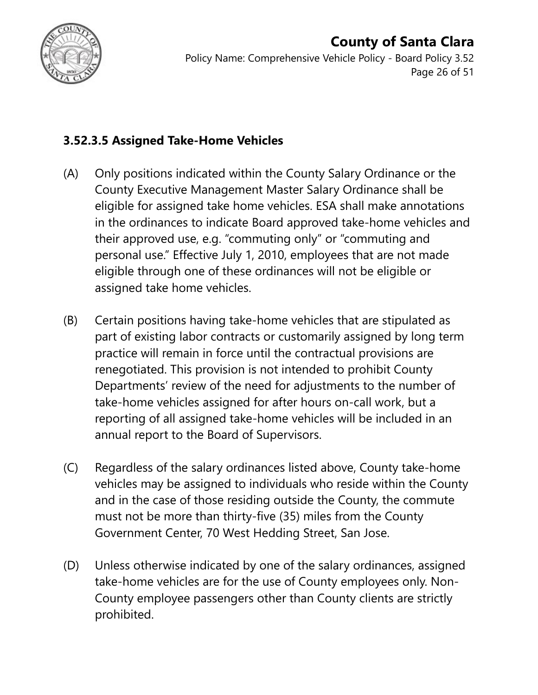

Policy Name: Comprehensive Vehicle Policy - Board Policy 3.52 Page 26 of 51

#### **3.52.3.5 Assigned Take-Home Vehicles**

- (A) Only positions indicated within the County Salary Ordinance or the County Executive Management Master Salary Ordinance shall be eligible for assigned take home vehicles. ESA shall make annotations in the ordinances to indicate Board approved take-home vehicles and their approved use, e.g. "commuting only" or "commuting and personal use." Effective July 1, 2010, employees that are not made eligible through one of these ordinances will not be eligible or assigned take home vehicles.
- (B) Certain positions having take-home vehicles that are stipulated as part of existing labor contracts or customarily assigned by long term practice will remain in force until the contractual provisions are renegotiated. This provision is not intended to prohibit County Departments' review of the need for adjustments to the number of take-home vehicles assigned for after hours on-call work, but a reporting of all assigned take-home vehicles will be included in an annual report to the Board of Supervisors.
- (C) Regardless of the salary ordinances listed above, County take-home vehicles may be assigned to individuals who reside within the County and in the case of those residing outside the County, the commute must not be more than thirty-five (35) miles from the County Government Center, 70 West Hedding Street, San Jose.
- (D) Unless otherwise indicated by one of the salary ordinances, assigned take-home vehicles are for the use of County employees only. Non-County employee passengers other than County clients are strictly prohibited.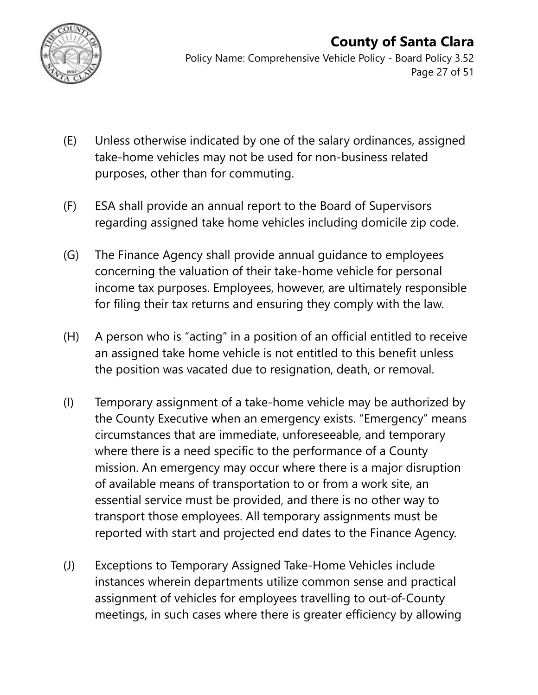

Policy Name: Comprehensive Vehicle Policy - Board Policy 3.52 Page 27 of 51

- (E) Unless otherwise indicated by one of the salary ordinances, assigned take-home vehicles may not be used for non-business related purposes, other than for commuting.
- (F) ESA shall provide an annual report to the Board of Supervisors regarding assigned take home vehicles including domicile zip code.
- (G) The Finance Agency shall provide annual guidance to employees concerning the valuation of their take-home vehicle for personal income tax purposes. Employees, however, are ultimately responsible for filing their tax returns and ensuring they comply with the law.
- (H) A person who is "acting" in a position of an official entitled to receive an assigned take home vehicle is not entitled to this benefit unless the position was vacated due to resignation, death, or removal.
- (I) Temporary assignment of a take-home vehicle may be authorized by the County Executive when an emergency exists. "Emergency" means circumstances that are immediate, unforeseeable, and temporary where there is a need specific to the performance of a County mission. An emergency may occur where there is a major disruption of available means of transportation to or from a work site, an essential service must be provided, and there is no other way to transport those employees. All temporary assignments must be reported with start and projected end dates to the Finance Agency.
- (J) Exceptions to Temporary Assigned Take-Home Vehicles include instances wherein departments utilize common sense and practical assignment of vehicles for employees travelling to out-of-County meetings, in such cases where there is greater efficiency by allowing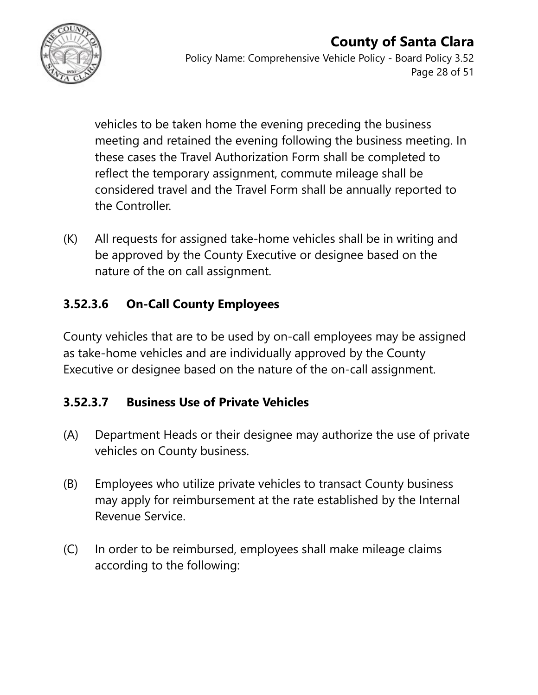

vehicles to be taken home the evening preceding the business meeting and retained the evening following the business meeting. In these cases the Travel Authorization Form shall be completed to reflect the temporary assignment, commute mileage shall be considered travel and the Travel Form shall be annually reported to the Controller.

(K) All requests for assigned take-home vehicles shall be in writing and be approved by the County Executive or designee based on the nature of the on call assignment.

### **3.52.3.6 On-Call County Employees**

County vehicles that are to be used by on-call employees may be assigned as take-home vehicles and are individually approved by the County Executive or designee based on the nature of the on-call assignment.

### **3.52.3.7 Business Use of Private Vehicles**

- (A) Department Heads or their designee may authorize the use of private vehicles on County business.
- (B) Employees who utilize private vehicles to transact County business may apply for reimbursement at the rate established by the Internal Revenue Service.
- (C) In order to be reimbursed, employees shall make mileage claims according to the following: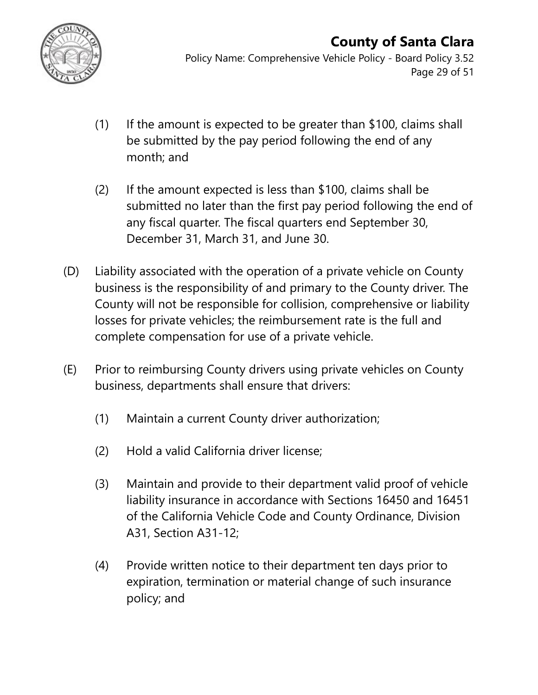

Policy Name: Comprehensive Vehicle Policy - Board Policy 3.52 Page 29 of 51

- (1) If the amount is expected to be greater than \$100, claims shall be submitted by the pay period following the end of any month; and
- (2) If the amount expected is less than \$100, claims shall be submitted no later than the first pay period following the end of any fiscal quarter. The fiscal quarters end September 30, December 31, March 31, and June 30.
- (D) Liability associated with the operation of a private vehicle on County business is the responsibility of and primary to the County driver. The County will not be responsible for collision, comprehensive or liability losses for private vehicles; the reimbursement rate is the full and complete compensation for use of a private vehicle.
- (E) Prior to reimbursing County drivers using private vehicles on County business, departments shall ensure that drivers:
	- (1) Maintain a current County driver authorization;
	- (2) Hold a valid California driver license;
	- (3) Maintain and provide to their department valid proof of vehicle liability insurance in accordance with Sections 16450 and 16451 of the California Vehicle Code and County Ordinance, Division A31, Section A31-12;
	- (4) Provide written notice to their department ten days prior to expiration, termination or material change of such insurance policy; and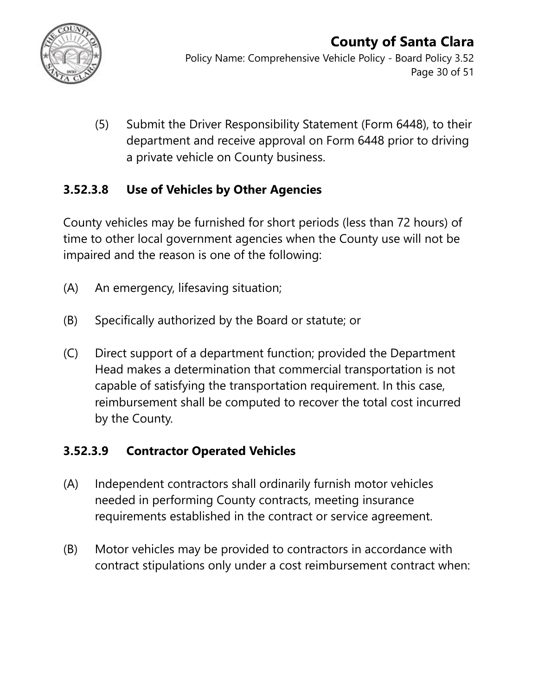

Policy Name: Comprehensive Vehicle Policy - Board Policy 3.52 Page 30 of 51

(5) Submit the Driver Responsibility Statement (Form 6448), to their department and receive approval on Form 6448 prior to driving a private vehicle on County business.

### **3.52.3.8 Use of Vehicles by Other Agencies**

County vehicles may be furnished for short periods (less than 72 hours) of time to other local government agencies when the County use will not be impaired and the reason is one of the following:

- (A) An emergency, lifesaving situation;
- (B) Specifically authorized by the Board or statute; or
- (C) Direct support of a department function; provided the Department Head makes a determination that commercial transportation is not capable of satisfying the transportation requirement. In this case, reimbursement shall be computed to recover the total cost incurred by the County.

### **3.52.3.9 Contractor Operated Vehicles**

- (A) Independent contractors shall ordinarily furnish motor vehicles needed in performing County contracts, meeting insurance requirements established in the contract or service agreement.
- (B) Motor vehicles may be provided to contractors in accordance with contract stipulations only under a cost reimbursement contract when: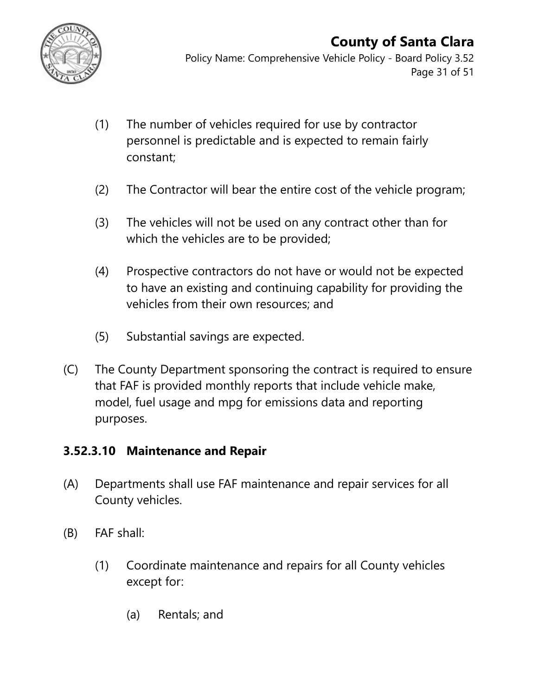

Policy Name: Comprehensive Vehicle Policy - Board Policy 3.52 Page 31 of 51

- (1) The number of vehicles required for use by contractor personnel is predictable and is expected to remain fairly constant;
- (2) The Contractor will bear the entire cost of the vehicle program;
- (3) The vehicles will not be used on any contract other than for which the vehicles are to be provided;
- (4) Prospective contractors do not have or would not be expected to have an existing and continuing capability for providing the vehicles from their own resources; and
- (5) Substantial savings are expected.
- (C) The County Department sponsoring the contract is required to ensure that FAF is provided monthly reports that include vehicle make, model, fuel usage and mpg for emissions data and reporting purposes.

#### **3.52.3.10 Maintenance and Repair**

- (A) Departments shall use FAF maintenance and repair services for all County vehicles.
- (B) FAF shall:
	- (1) Coordinate maintenance and repairs for all County vehicles except for:
		- (a) Rentals; and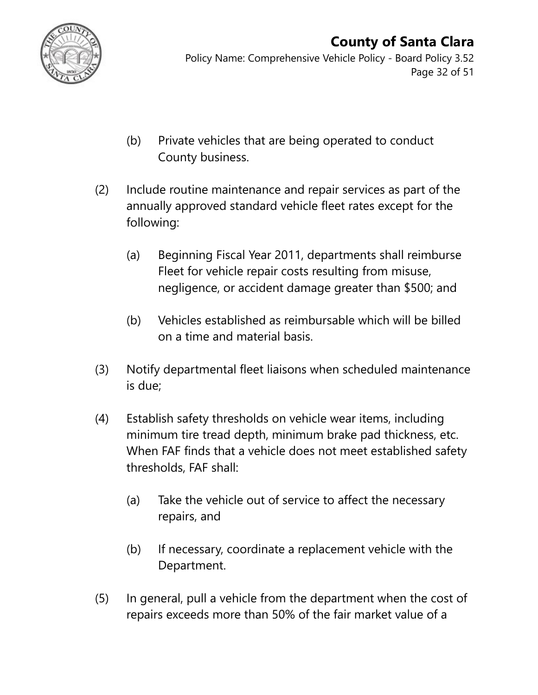

Policy Name: Comprehensive Vehicle Policy - Board Policy 3.52 Page 32 of 51

- (b) Private vehicles that are being operated to conduct County business.
- (2) Include routine maintenance and repair services as part of the annually approved standard vehicle fleet rates except for the following:
	- (a) Beginning Fiscal Year 2011, departments shall reimburse Fleet for vehicle repair costs resulting from misuse, negligence, or accident damage greater than \$500; and
	- (b) Vehicles established as reimbursable which will be billed on a time and material basis.
- (3) Notify departmental fleet liaisons when scheduled maintenance is due;
- (4) Establish safety thresholds on vehicle wear items, including minimum tire tread depth, minimum brake pad thickness, etc. When FAF finds that a vehicle does not meet established safety thresholds, FAF shall:
	- (a) Take the vehicle out of service to affect the necessary repairs, and
	- (b) If necessary, coordinate a replacement vehicle with the Department.
- (5) In general, pull a vehicle from the department when the cost of repairs exceeds more than 50% of the fair market value of a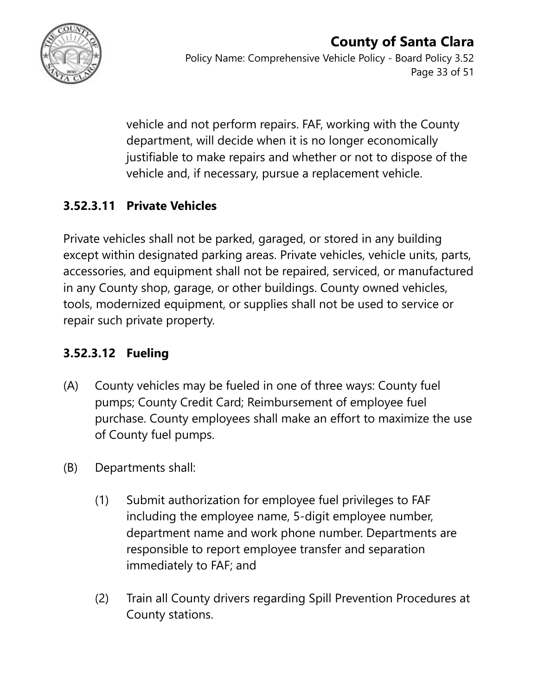

vehicle and not perform repairs. FAF, working with the County department, will decide when it is no longer economically justifiable to make repairs and whether or not to dispose of the vehicle and, if necessary, pursue a replacement vehicle.

### **3.52.3.11 Private Vehicles**

Private vehicles shall not be parked, garaged, or stored in any building except within designated parking areas. Private vehicles, vehicle units, parts, accessories, and equipment shall not be repaired, serviced, or manufactured in any County shop, garage, or other buildings. County owned vehicles, tools, modernized equipment, or supplies shall not be used to service or repair such private property.

### **3.52.3.12 Fueling**

- (A) County vehicles may be fueled in one of three ways: County fuel pumps; County Credit Card; Reimbursement of employee fuel purchase. County employees shall make an effort to maximize the use of County fuel pumps.
- (B) Departments shall:
	- (1) Submit authorization for employee fuel privileges to FAF including the employee name, 5-digit employee number, department name and work phone number. Departments are responsible to report employee transfer and separation immediately to FAF; and
	- (2) Train all County drivers regarding Spill Prevention Procedures at County stations.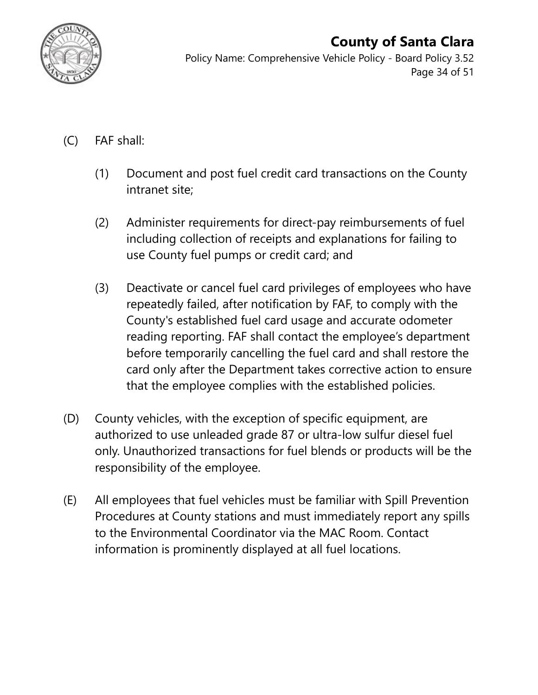

Policy Name: Comprehensive Vehicle Policy - Board Policy 3.52 Page 34 of 51

- (C) FAF shall:
	- (1) Document and post fuel credit card transactions on the County intranet site;
	- (2) Administer requirements for direct-pay reimbursements of fuel including collection of receipts and explanations for failing to use County fuel pumps or credit card; and
	- (3) Deactivate or cancel fuel card privileges of employees who have repeatedly failed, after notification by FAF, to comply with the County's established fuel card usage and accurate odometer reading reporting. FAF shall contact the employee's department before temporarily cancelling the fuel card and shall restore the card only after the Department takes corrective action to ensure that the employee complies with the established policies.
- (D) County vehicles, with the exception of specific equipment, are authorized to use unleaded grade 87 or ultra-low sulfur diesel fuel only. Unauthorized transactions for fuel blends or products will be the responsibility of the employee.
- (E) All employees that fuel vehicles must be familiar with Spill Prevention Procedures at County stations and must immediately report any spills to the Environmental Coordinator via the MAC Room. Contact information is prominently displayed at all fuel locations.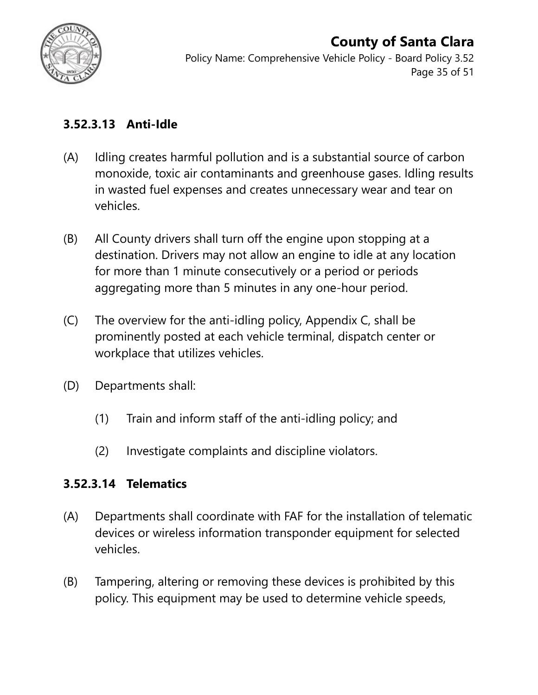

Policy Name: Comprehensive Vehicle Policy - Board Policy 3.52 Page 35 of 51

#### **3.52.3.13 Anti-Idle**

- (A) Idling creates harmful pollution and is a substantial source of carbon monoxide, toxic air contaminants and greenhouse gases. Idling results in wasted fuel expenses and creates unnecessary wear and tear on vehicles.
- (B) All County drivers shall turn off the engine upon stopping at a destination. Drivers may not allow an engine to idle at any location for more than 1 minute consecutively or a period or periods aggregating more than 5 minutes in any one-hour period.
- (C) The overview for the anti-idling policy, Appendix C, shall be prominently posted at each vehicle terminal, dispatch center or workplace that utilizes vehicles.
- (D) Departments shall:
	- (1) Train and inform staff of the anti-idling policy; and
	- (2) Investigate complaints and discipline violators.

#### **3.52.3.14 Telematics**

- (A) Departments shall coordinate with FAF for the installation of telematic devices or wireless information transponder equipment for selected vehicles.
- (B) Tampering, altering or removing these devices is prohibited by this policy. This equipment may be used to determine vehicle speeds,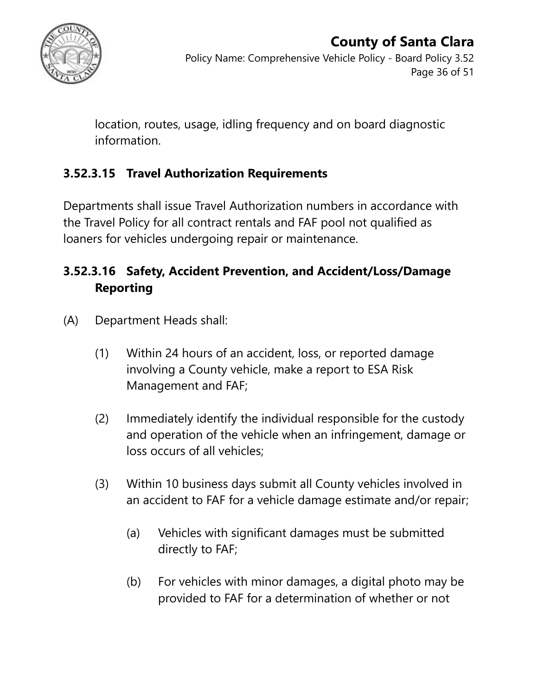

#### **County of Santa Clara** Policy Name: Comprehensive Vehicle Policy - Board Policy 3.52 Page 36 of 51

location, routes, usage, idling frequency and on board diagnostic information.

### **3.52.3.15 Travel Authorization Requirements**

Departments shall issue Travel Authorization numbers in accordance with the Travel Policy for all contract rentals and FAF pool not qualified as loaners for vehicles undergoing repair or maintenance.

### **3.52.3.16 Safety, Accident Prevention, and Accident/Loss/Damage Reporting**

- (A) Department Heads shall:
	- (1) Within 24 hours of an accident, loss, or reported damage involving a County vehicle, make a report to ESA Risk Management and FAF;
	- (2) Immediately identify the individual responsible for the custody and operation of the vehicle when an infringement, damage or loss occurs of all vehicles;
	- (3) Within 10 business days submit all County vehicles involved in an accident to FAF for a vehicle damage estimate and/or repair;
		- (a) Vehicles with significant damages must be submitted directly to FAF;
		- (b) For vehicles with minor damages, a digital photo may be provided to FAF for a determination of whether or not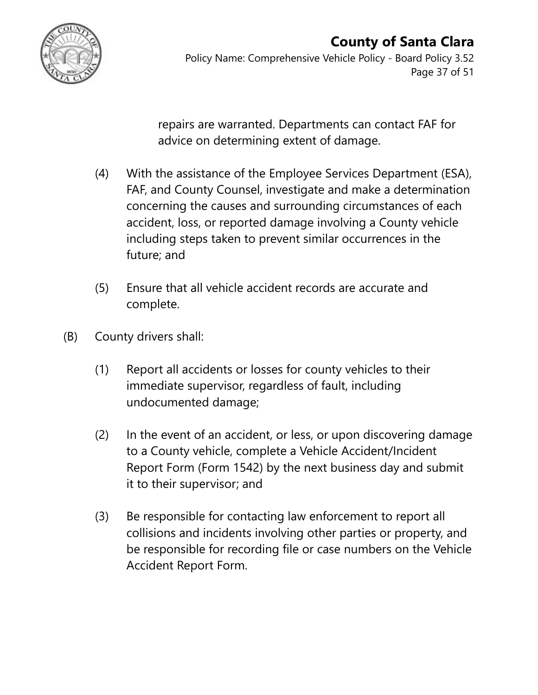

Policy Name: Comprehensive Vehicle Policy - Board Policy 3.52 Page 37 of 51

repairs are warranted. Departments can contact FAF for advice on determining extent of damage.

- (4) With the assistance of the Employee Services Department (ESA), FAF, and County Counsel, investigate and make a determination concerning the causes and surrounding circumstances of each accident, loss, or reported damage involving a County vehicle including steps taken to prevent similar occurrences in the future; and
- (5) Ensure that all vehicle accident records are accurate and complete.
- (B) County drivers shall:
	- (1) Report all accidents or losses for county vehicles to their immediate supervisor, regardless of fault, including undocumented damage;
	- (2) In the event of an accident, or less, or upon discovering damage to a County vehicle, complete a Vehicle Accident/Incident Report Form (Form 1542) by the next business day and submit it to their supervisor; and
	- (3) Be responsible for contacting law enforcement to report all collisions and incidents involving other parties or property, and be responsible for recording file or case numbers on the Vehicle Accident Report Form.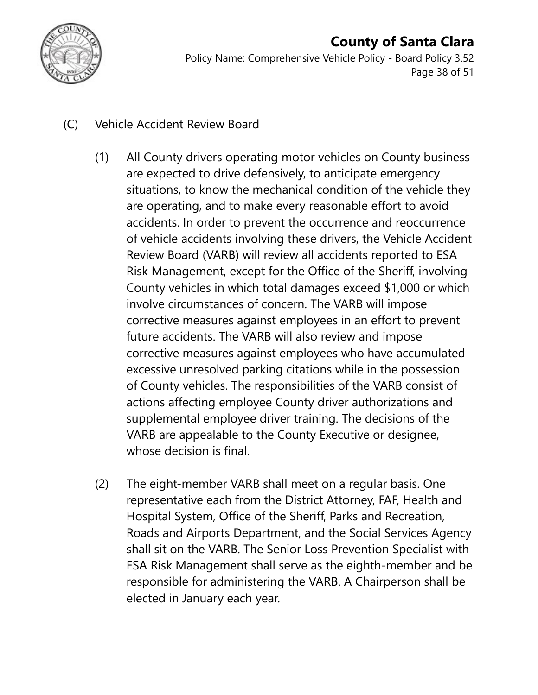

Policy Name: Comprehensive Vehicle Policy - Board Policy 3.52 Page 38 of 51

- (C) Vehicle Accident Review Board
	- (1) All County drivers operating motor vehicles on County business are expected to drive defensively, to anticipate emergency situations, to know the mechanical condition of the vehicle they are operating, and to make every reasonable effort to avoid accidents. In order to prevent the occurrence and reoccurrence of vehicle accidents involving these drivers, the Vehicle Accident Review Board (VARB) will review all accidents reported to ESA Risk Management, except for the Office of the Sheriff, involving County vehicles in which total damages exceed \$1,000 or which involve circumstances of concern. The VARB will impose corrective measures against employees in an effort to prevent future accidents. The VARB will also review and impose corrective measures against employees who have accumulated excessive unresolved parking citations while in the possession of County vehicles. The responsibilities of the VARB consist of actions affecting employee County driver authorizations and supplemental employee driver training. The decisions of the VARB are appealable to the County Executive or designee, whose decision is final.
	- (2) The eight-member VARB shall meet on a regular basis. One representative each from the District Attorney, FAF, Health and Hospital System, Office of the Sheriff, Parks and Recreation, Roads and Airports Department, and the Social Services Agency shall sit on the VARB. The Senior Loss Prevention Specialist with ESA Risk Management shall serve as the eighth-member and be responsible for administering the VARB. A Chairperson shall be elected in January each year.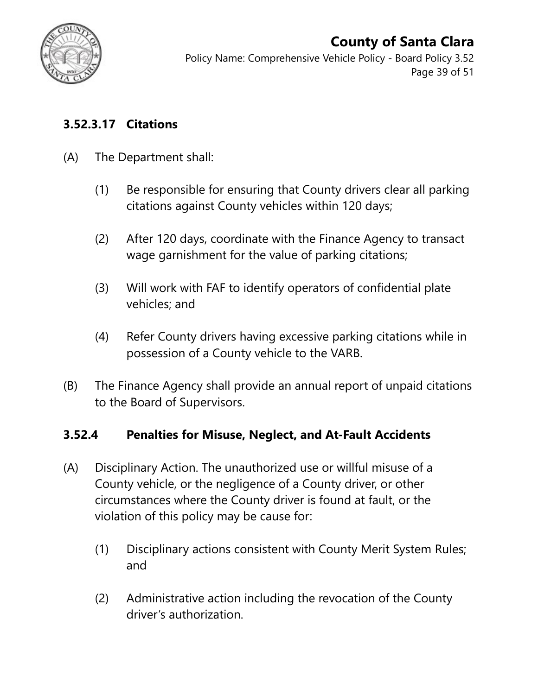

Policy Name: Comprehensive Vehicle Policy - Board Policy 3.52 Page 39 of 51

#### **3.52.3.17 Citations**

- (A) The Department shall:
	- (1) Be responsible for ensuring that County drivers clear all parking citations against County vehicles within 120 days;
	- (2) After 120 days, coordinate with the Finance Agency to transact wage garnishment for the value of parking citations;
	- (3) Will work with FAF to identify operators of confidential plate vehicles; and
	- (4) Refer County drivers having excessive parking citations while in possession of a County vehicle to the VARB.
- (B) The Finance Agency shall provide an annual report of unpaid citations to the Board of Supervisors.

#### **3.52.4 Penalties for Misuse, Neglect, and At-Fault Accidents**

- (A) Disciplinary Action. The unauthorized use or willful misuse of a County vehicle, or the negligence of a County driver, or other circumstances where the County driver is found at fault, or the violation of this policy may be cause for:
	- (1) Disciplinary actions consistent with County Merit System Rules; and
	- (2) Administrative action including the revocation of the County driver's authorization.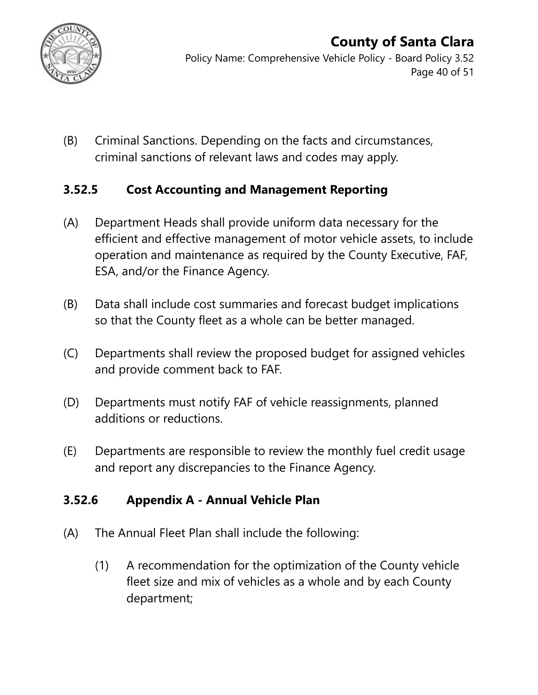

Policy Name: Comprehensive Vehicle Policy - Board Policy 3.52 Page 40 of 51

(B) Criminal Sanctions. Depending on the facts and circumstances, criminal sanctions of relevant laws and codes may apply.

#### **3.52.5 Cost Accounting and Management Reporting**

- (A) Department Heads shall provide uniform data necessary for the efficient and effective management of motor vehicle assets, to include operation and maintenance as required by the County Executive, FAF, ESA, and/or the Finance Agency.
- (B) Data shall include cost summaries and forecast budget implications so that the County fleet as a whole can be better managed.
- (C) Departments shall review the proposed budget for assigned vehicles and provide comment back to FAF.
- (D) Departments must notify FAF of vehicle reassignments, planned additions or reductions.
- (E) Departments are responsible to review the monthly fuel credit usage and report any discrepancies to the Finance Agency.

#### **3.52.6 Appendix A - Annual Vehicle Plan**

- (A) The Annual Fleet Plan shall include the following:
	- (1) A recommendation for the optimization of the County vehicle fleet size and mix of vehicles as a whole and by each County department;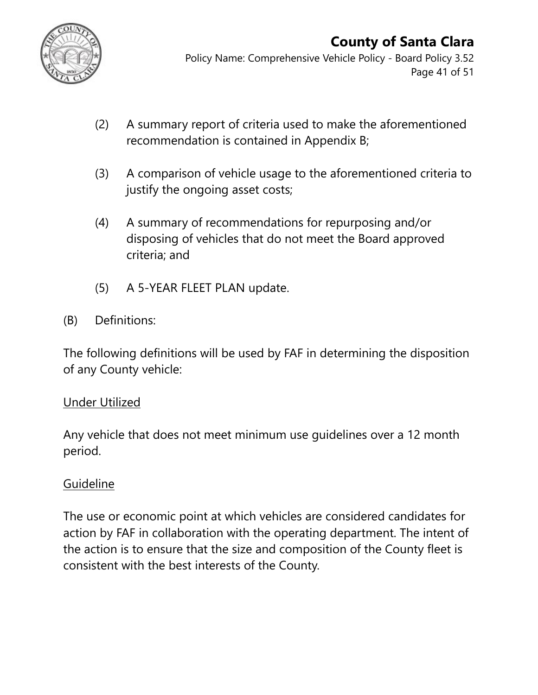

Policy Name: Comprehensive Vehicle Policy - Board Policy 3.52 Page 41 of 51

- (2) A summary report of criteria used to make the aforementioned recommendation is contained in Appendix B;
- (3) A comparison of vehicle usage to the aforementioned criteria to justify the ongoing asset costs;
- (4) A summary of recommendations for repurposing and/or disposing of vehicles that do not meet the Board approved criteria; and
- (5) A 5-YEAR FLEET PLAN update.
- (B) Definitions:

The following definitions will be used by FAF in determining the disposition of any County vehicle:

#### Under Utilized

Any vehicle that does not meet minimum use guidelines over a 12 month period.

### Guideline

The use or economic point at which vehicles are considered candidates for action by FAF in collaboration with the operating department. The intent of the action is to ensure that the size and composition of the County fleet is consistent with the best interests of the County.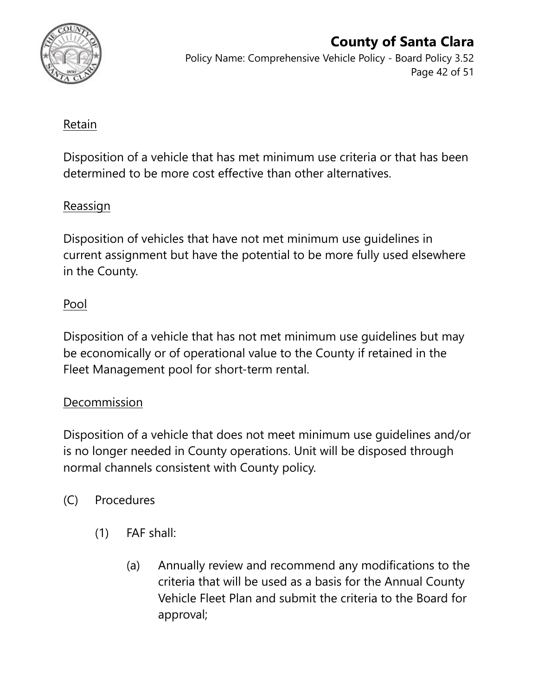

Policy Name: Comprehensive Vehicle Policy - Board Policy 3.52 Page 42 of 51

#### Retain

Disposition of a vehicle that has met minimum use criteria or that has been determined to be more cost effective than other alternatives.

#### Reassign

Disposition of vehicles that have not met minimum use guidelines in current assignment but have the potential to be more fully used elsewhere in the County.

#### Pool

Disposition of a vehicle that has not met minimum use guidelines but may be economically or of operational value to the County if retained in the Fleet Management pool for short-term rental.

#### Decommission

Disposition of a vehicle that does not meet minimum use guidelines and/or is no longer needed in County operations. Unit will be disposed through normal channels consistent with County policy.

- (C) Procedures
	- (1) FAF shall:
		- (a) Annually review and recommend any modifications to the criteria that will be used as a basis for the Annual County Vehicle Fleet Plan and submit the criteria to the Board for approval;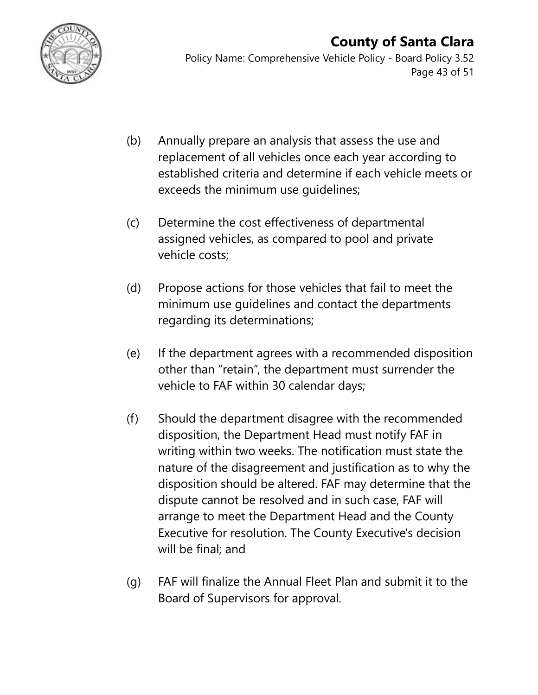

Policy Name: Comprehensive Vehicle Policy - Board Policy 3.52 Page 43 of 51

- (b) Annually prepare an analysis that assess the use and replacement of all vehicles once each year according to established criteria and determine if each vehicle meets or exceeds the minimum use guidelines;
- (c) Determine the cost effectiveness of departmental assigned vehicles, as compared to pool and private vehicle costs;
- (d) Propose actions for those vehicles that fail to meet the minimum use guidelines and contact the departments regarding its determinations;
- (e) If the department agrees with a recommended disposition other than "retain", the department must surrender the vehicle to FAF within 30 calendar days;
- (f) Should the department disagree with the recommended disposition, the Department Head must notify FAF in writing within two weeks. The notification must state the nature of the disagreement and justification as to why the disposition should be altered. FAF may determine that the dispute cannot be resolved and in such case, FAF will arrange to meet the Department Head and the County Executive for resolution. The County Executive's decision will be final; and
- (g) FAF will finalize the Annual Fleet Plan and submit it to the Board of Supervisors for approval.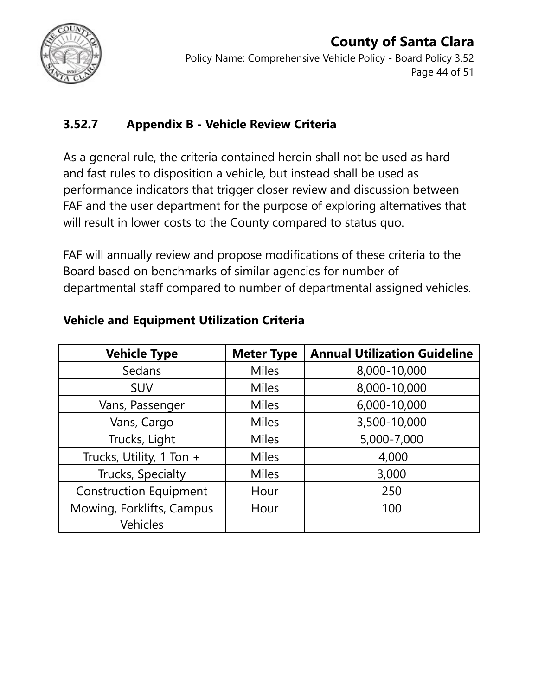

#### **County of Santa Clara** Policy Name: Comprehensive Vehicle Policy - Board Policy 3.52 Page 44 of 51

### **3.52.7 Appendix B - Vehicle Review Criteria**

As a general rule, the criteria contained herein shall not be used as hard and fast rules to disposition a vehicle, but instead shall be used as performance indicators that trigger closer review and discussion between FAF and the user department for the purpose of exploring alternatives that will result in lower costs to the County compared to status quo.

FAF will annually review and propose modifications of these criteria to the Board based on benchmarks of similar agencies for number of departmental staff compared to number of departmental assigned vehicles.

| <b>Vehicle Type</b>           | <b>Meter Type</b> | <b>Annual Utilization Guideline</b> |
|-------------------------------|-------------------|-------------------------------------|
| Sedans                        | <b>Miles</b>      | 8,000-10,000                        |
| <b>SUV</b>                    | <b>Miles</b>      | 8,000-10,000                        |
| Vans, Passenger               | <b>Miles</b>      | 6,000-10,000                        |
| Vans, Cargo                   | <b>Miles</b>      | 3,500-10,000                        |
| Trucks, Light                 | <b>Miles</b>      | 5,000-7,000                         |
| Trucks, Utility, 1 Ton +      | <b>Miles</b>      | 4,000                               |
| Trucks, Specialty             | <b>Miles</b>      | 3,000                               |
| <b>Construction Equipment</b> | Hour              | 250                                 |
| Mowing, Forklifts, Campus     | Hour              | 100                                 |
| <b>Vehicles</b>               |                   |                                     |

### **Vehicle and Equipment Utilization Criteria**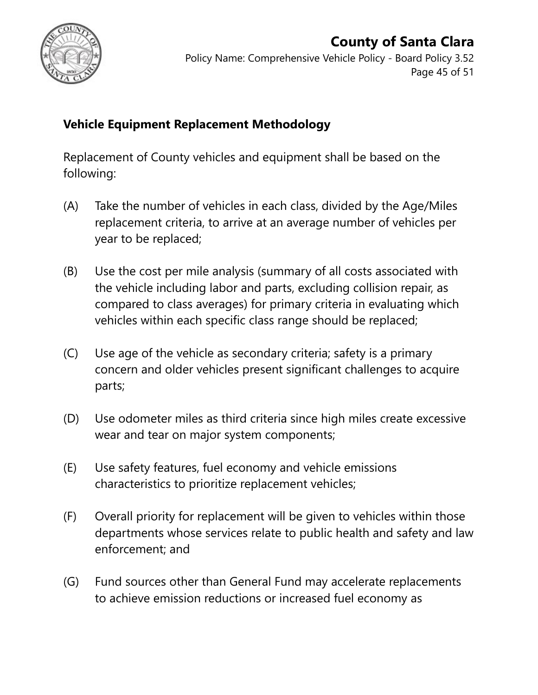

#### **County of Santa Clara** Policy Name: Comprehensive Vehicle Policy - Board Policy 3.52 Page 45 of 51

#### **Vehicle Equipment Replacement Methodology**

Replacement of County vehicles and equipment shall be based on the following:

- (A) Take the number of vehicles in each class, divided by the Age/Miles replacement criteria, to arrive at an average number of vehicles per year to be replaced;
- (B) Use the cost per mile analysis (summary of all costs associated with the vehicle including labor and parts, excluding collision repair, as compared to class averages) for primary criteria in evaluating which vehicles within each specific class range should be replaced;
- (C) Use age of the vehicle as secondary criteria; safety is a primary concern and older vehicles present significant challenges to acquire parts;
- (D) Use odometer miles as third criteria since high miles create excessive wear and tear on major system components;
- (E) Use safety features, fuel economy and vehicle emissions characteristics to prioritize replacement vehicles;
- (F) Overall priority for replacement will be given to vehicles within those departments whose services relate to public health and safety and law enforcement; and
- (G) Fund sources other than General Fund may accelerate replacements to achieve emission reductions or increased fuel economy as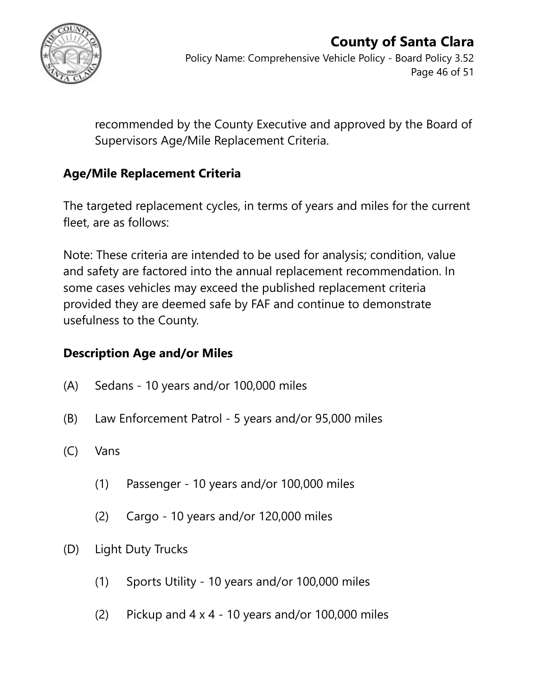

Policy Name: Comprehensive Vehicle Policy - Board Policy 3.52 Page 46 of 51

recommended by the County Executive and approved by the Board of Supervisors Age/Mile Replacement Criteria.

### **Age/Mile Replacement Criteria**

The targeted replacement cycles, in terms of years and miles for the current fleet, are as follows:

Note: These criteria are intended to be used for analysis; condition, value and safety are factored into the annual replacement recommendation. In some cases vehicles may exceed the published replacement criteria provided they are deemed safe by FAF and continue to demonstrate usefulness to the County.

#### **Description Age and/or Miles**

- (A) Sedans 10 years and/or 100,000 miles
- (B) Law Enforcement Patrol 5 years and/or 95,000 miles
- (C) Vans
	- (1) Passenger 10 years and/or 100,000 miles
	- (2) Cargo 10 years and/or 120,000 miles
- (D) Light Duty Trucks
	- (1) Sports Utility 10 years and/or 100,000 miles
	- (2) Pickup and  $4 \times 4 10$  years and/or 100,000 miles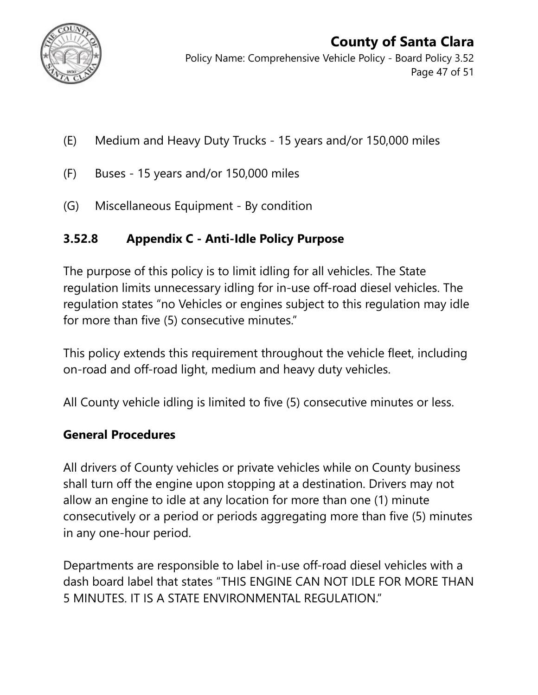

Policy Name: Comprehensive Vehicle Policy - Board Policy 3.52 Page 47 of 51

- (E) Medium and Heavy Duty Trucks 15 years and/or 150,000 miles
- (F) Buses 15 years and/or 150,000 miles
- (G) Miscellaneous Equipment By condition

### **3.52.8 Appendix C - Anti-Idle Policy Purpose**

The purpose of this policy is to limit idling for all vehicles. The State regulation limits unnecessary idling for in-use off-road diesel vehicles. The regulation states "no Vehicles or engines subject to this regulation may idle for more than five (5) consecutive minutes."

This policy extends this requirement throughout the vehicle fleet, including on-road and off-road light, medium and heavy duty vehicles.

All County vehicle idling is limited to five (5) consecutive minutes or less.

#### **General Procedures**

All drivers of County vehicles or private vehicles while on County business shall turn off the engine upon stopping at a destination. Drivers may not allow an engine to idle at any location for more than one (1) minute consecutively or a period or periods aggregating more than five (5) minutes in any one-hour period.

Departments are responsible to label in-use off-road diesel vehicles with a dash board label that states "THIS ENGINE CAN NOT IDLE FOR MORE THAN 5 MINUTES. IT IS A STATE ENVIRONMENTAL REGULATION."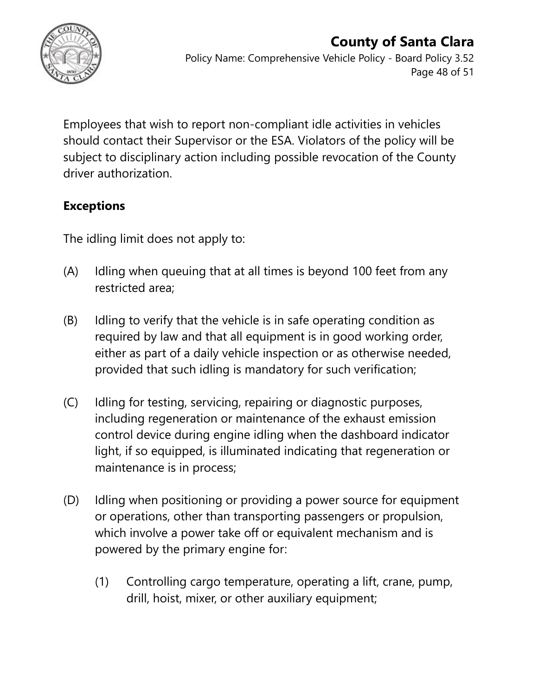

### **County of Santa Clara** Policy Name: Comprehensive Vehicle Policy - Board Policy 3.52

Page 48 of 51

Employees that wish to report non-compliant idle activities in vehicles should contact their Supervisor or the ESA. Violators of the policy will be subject to disciplinary action including possible revocation of the County driver authorization.

### **Exceptions**

The idling limit does not apply to:

- (A) Idling when queuing that at all times is beyond 100 feet from any restricted area;
- (B) Idling to verify that the vehicle is in safe operating condition as required by law and that all equipment is in good working order, either as part of a daily vehicle inspection or as otherwise needed, provided that such idling is mandatory for such verification;
- (C) Idling for testing, servicing, repairing or diagnostic purposes, including regeneration or maintenance of the exhaust emission control device during engine idling when the dashboard indicator light, if so equipped, is illuminated indicating that regeneration or maintenance is in process;
- (D) Idling when positioning or providing a power source for equipment or operations, other than transporting passengers or propulsion, which involve a power take off or equivalent mechanism and is powered by the primary engine for:
	- (1) Controlling cargo temperature, operating a lift, crane, pump, drill, hoist, mixer, or other auxiliary equipment;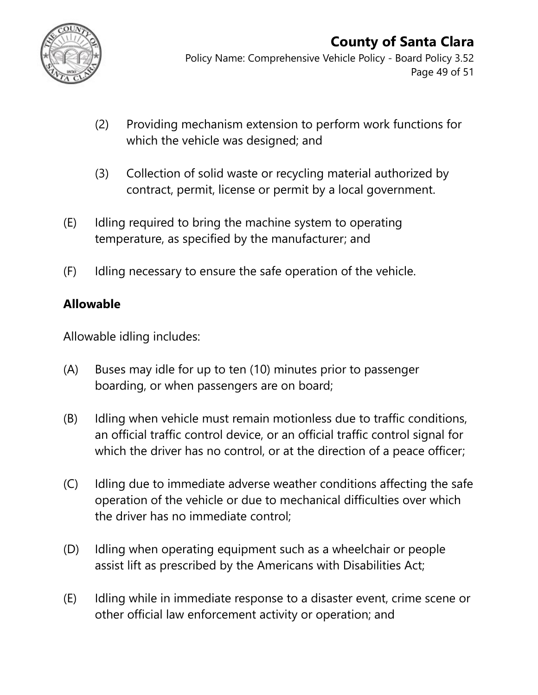

Policy Name: Comprehensive Vehicle Policy - Board Policy 3.52 Page 49 of 51

- (2) Providing mechanism extension to perform work functions for which the vehicle was designed; and
- (3) Collection of solid waste or recycling material authorized by contract, permit, license or permit by a local government.
- (E) Idling required to bring the machine system to operating temperature, as specified by the manufacturer; and
- (F) Idling necessary to ensure the safe operation of the vehicle.

#### **Allowable**

Allowable idling includes:

- (A) Buses may idle for up to ten (10) minutes prior to passenger boarding, or when passengers are on board;
- (B) Idling when vehicle must remain motionless due to traffic conditions, an official traffic control device, or an official traffic control signal for which the driver has no control, or at the direction of a peace officer;
- (C) Idling due to immediate adverse weather conditions affecting the safe operation of the vehicle or due to mechanical difficulties over which the driver has no immediate control;
- (D) Idling when operating equipment such as a wheelchair or people assist lift as prescribed by the Americans with Disabilities Act;
- (E) Idling while in immediate response to a disaster event, crime scene or other official law enforcement activity or operation; and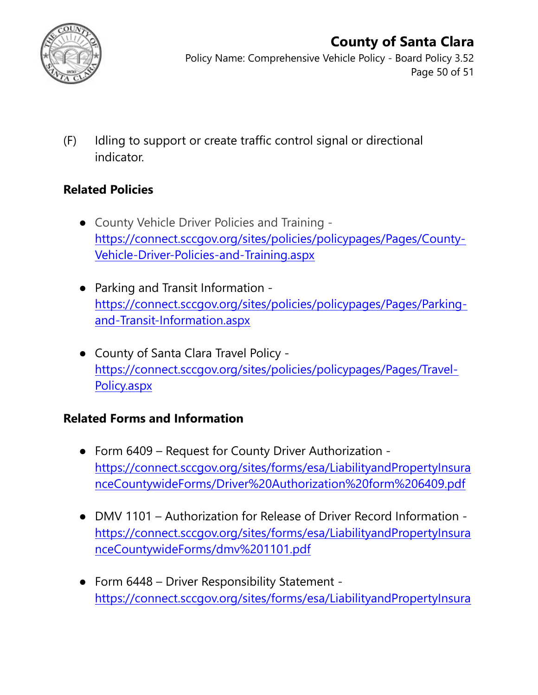

Policy Name: Comprehensive Vehicle Policy - Board Policy 3.52 Page 50 of 51

(F) Idling to support or create traffic control signal or directional indicator.

### **Related Policies**

- County Vehicle Driver Policies and Training [https://connect.sccgov.org/sites/policies/policypages/Pages/County-](https://connect.sccgov.org/sites/policies/policypages/Pages/County-Vehicle-Driver-Policies-and-Training.aspx)[Vehicle-Driver-Policies-and-Training.aspx](https://connect.sccgov.org/sites/policies/policypages/Pages/County-Vehicle-Driver-Policies-and-Training.aspx)
- Parking and Transit Information [https://connect.sccgov.org/sites/policies/policypages/Pages/Parking](https://connect.sccgov.org/sites/policies/policypages/Pages/Parking-and-Transit-Information.aspx)[and-Transit-Information.aspx](https://connect.sccgov.org/sites/policies/policypages/Pages/Parking-and-Transit-Information.aspx)
- County of Santa Clara Travel Policy [https://connect.sccgov.org/sites/policies/policypages/Pages/Travel-](https://connect.sccgov.org/sites/policies/policypages/Pages/Travel-Policy.aspx)[Policy.aspx](https://connect.sccgov.org/sites/policies/policypages/Pages/Travel-Policy.aspx)

### **Related Forms and Information**

- Form 6409 Request for County Driver Authorization [https://connect.sccgov.org/sites/forms/esa/LiabilityandPropertyInsura](https://connect.sccgov.org/sites/forms/esa/LiabilityandPropertyInsuranceCountywideForms/Driver%20Authorization%20form%206409.pdf) [nceCountywideForms/Driver%20Authorization%20form%206409.pdf](https://connect.sccgov.org/sites/forms/esa/LiabilityandPropertyInsuranceCountywideForms/Driver%20Authorization%20form%206409.pdf)
- DMV 1101 Authorization for Release of Driver Record Information [https://connect.sccgov.org/sites/forms/esa/LiabilityandPropertyInsura](https://connect.sccgov.org/sites/forms/esa/LiabilityandPropertyInsuranceCountywideForms/dmv%201101.pdf) [nceCountywideForms/dmv%201101.pdf](https://connect.sccgov.org/sites/forms/esa/LiabilityandPropertyInsuranceCountywideForms/dmv%201101.pdf)
- Form 6448 Driver Responsibility Statement [https://connect.sccgov.org/sites/forms/esa/LiabilityandPropertyInsura](https://connect.sccgov.org/sites/forms/esa/LiabilityandPropertyInsuranceCountywideForms/Driver%20Responsibility%20Statement_%20private%20vehicles%20form%206448.pdf)